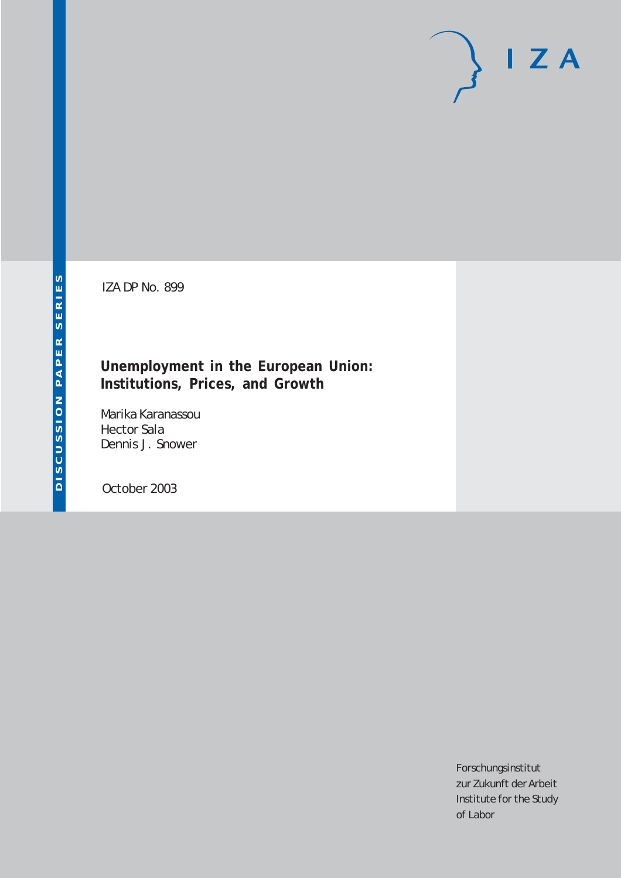# $I Z A$

IZA DP No. 899

## **Unemployment in the European Union: Institutions, Prices, and Growth**

Marika Karanassou Hector Sala Dennis J. Snower

October 2003

Forschungsinstitut zur Zukunft der Arbeit Institute for the Study of Labor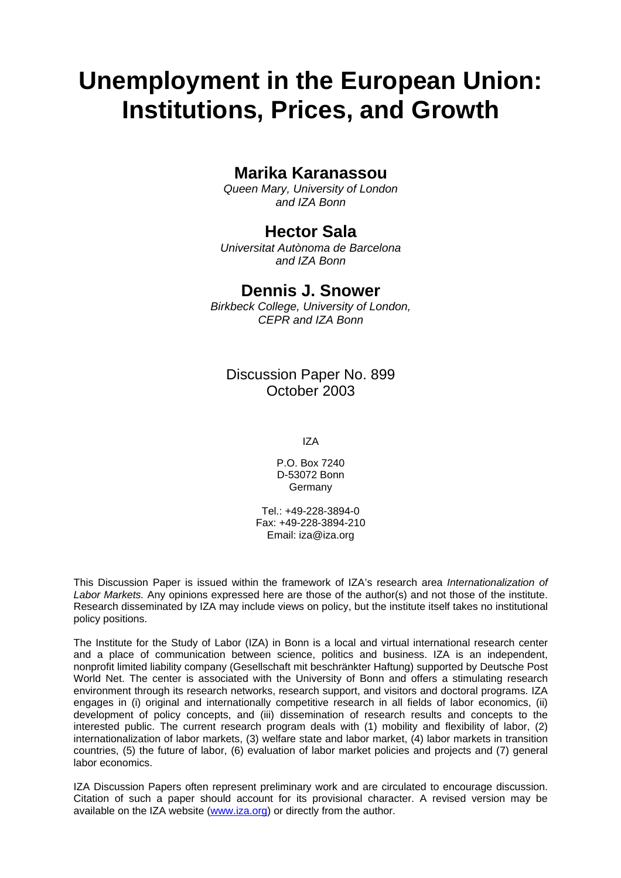# **Unemployment in the European Union: Institutions, Prices, and Growth**

### **Marika Karanassou**

*Queen Mary, University of London and IZA Bonn* 

## **Hector Sala**

*Universitat Autònoma de Barcelona and IZA Bonn* 

#### **Dennis J. Snower**

*Birkbeck College, University of London, CEPR and IZA Bonn*

## Discussion Paper No. 899 October 2003

IZA

P.O. Box 7240 D-53072 Bonn Germany

 $Tel + 49-228-3894-0$ Fax: +49-228-3894-210 Email: [iza@iza.org](mailto:iza@iza.org)

This Discussion Paper is issued within the framework of IZA's research area *Internationalization of Labor Markets.* Any opinions expressed here are those of the author(s) and not those of the institute. Research disseminated by IZA may include views on policy, but the institute itself takes no institutional policy positions.

The Institute for the Study of Labor (IZA) in Bonn is a local and virtual international research center and a place of communication between science, politics and business. IZA is an independent, nonprofit limited liability company (Gesellschaft mit beschränkter Haftung) supported by Deutsche Post World Net. The center is associated with the University of Bonn and offers a stimulating research environment through its research networks, research support, and visitors and doctoral programs. IZA engages in (i) original and internationally competitive research in all fields of labor economics, (ii) development of policy concepts, and (iii) dissemination of research results and concepts to the interested public. The current research program deals with (1) mobility and flexibility of labor, (2) internationalization of labor markets, (3) welfare state and labor market, (4) labor markets in transition countries, (5) the future of labor, (6) evaluation of labor market policies and projects and (7) general labor economics.

IZA Discussion Papers often represent preliminary work and are circulated to encourage discussion. Citation of such a paper should account for its provisional character. A revised version may be available on the IZA website ([www.iza.org](http://www.iza.org/)) or directly from the author.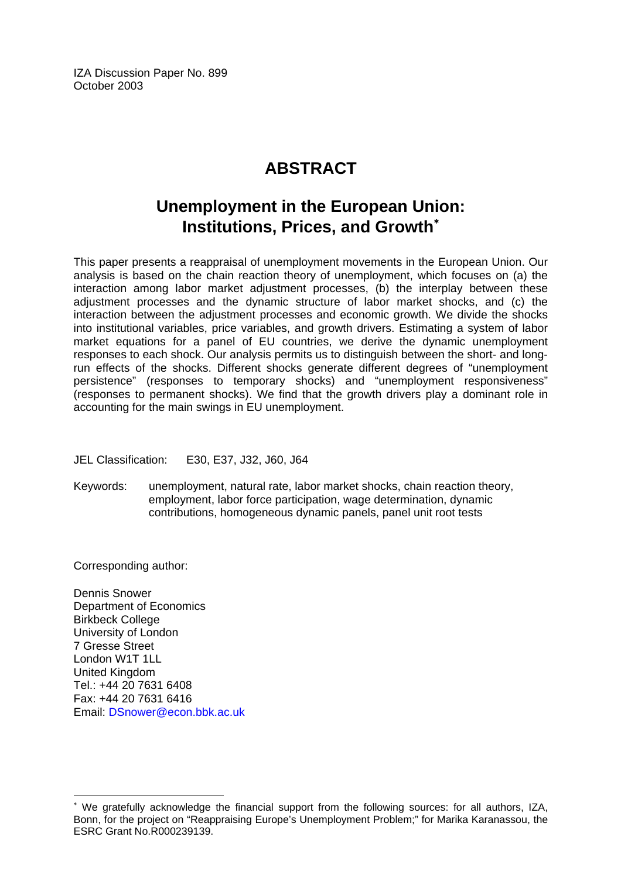IZA Discussion Paper No. 899 October 2003

## **ABSTRACT**

## **Unemployment in the European Union: Institutions, Prices, and Growth**[∗](#page-2-0)

This paper presents a reappraisal of unemployment movements in the European Union. Our analysis is based on the chain reaction theory of unemployment, which focuses on (a) the interaction among labor market adjustment processes, (b) the interplay between these adjustment processes and the dynamic structure of labor market shocks, and (c) the interaction between the adjustment processes and economic growth. We divide the shocks into institutional variables, price variables, and growth drivers. Estimating a system of labor market equations for a panel of EU countries, we derive the dynamic unemployment responses to each shock. Our analysis permits us to distinguish between the short- and longrun effects of the shocks. Different shocks generate different degrees of "unemployment persistence" (responses to temporary shocks) and "unemployment responsiveness" (responses to permanent shocks). We find that the growth drivers play a dominant role in accounting for the main swings in EU unemployment.

JEL Classification: E30, E37, J32, J60, J64

Keywords: unemployment, natural rate, labor market shocks, chain reaction theory, employment, labor force participation, wage determination, dynamic contributions, homogeneous dynamic panels, panel unit root tests

Corresponding author:

 $\overline{a}$ 

Dennis Snower Department of Economics Birkbeck College University of London 7 Gresse Street London W1T 1LL United Kingdom Tel.: +44 20 7631 6408 Fax: +44 20 7631 6416 Email: [DSnower@econ.bbk.ac.uk](mailto:DSnower@econ.bbk.ac.uk) 

<span id="page-2-0"></span><sup>∗</sup> We gratefully acknowledge the financial support from the following sources: for all authors, IZA, Bonn, for the project on "Reappraising Europe's Unemployment Problem;" for Marika Karanassou, the ESRC Grant No.R000239139.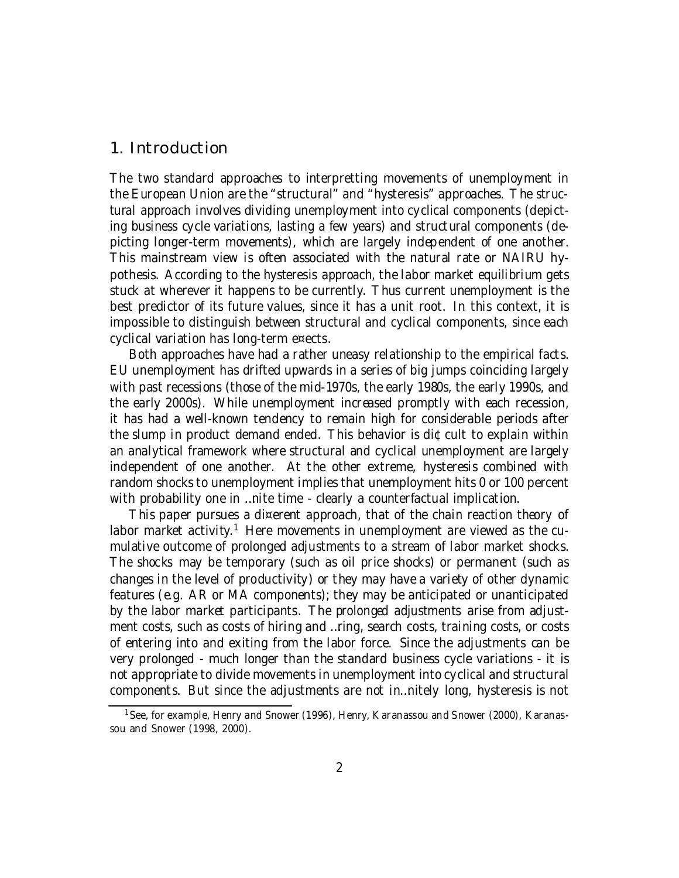#### 1. Introduction

The two standard approaches to interpretting movements of unemployment in the European Union are the "structural" and "hysteresis" approaches. The structural approach involves dividing unemployment into cyclical components (depicting business cycle variations, lasting a few years) and structural components (depicting longer-term movements), which are largely independent of one another. This mainstream view is often associated with the natural rate or NAIRU hypothesis. According to the hysteresis approach, the labor market equilibrium gets stuck at wherever it happens to be currently. Thus current unemployment is the best predictor of its future values, since it has a unit root. In this context, it is impossible to distinguish between structural and cyclical components, since each cyclical variation has long-term e¤ects.

Both approaches have had a rather uneasy relationship to the empirical facts. EU unemployment has drifted upwards in a series of big jumps coinciding largely with past recessions (those of the mid-1970s, the early 1980s, the early 1990s, and the early 2000s). While unemployment increased promptly with each recession, it has had a well-known tendency to remain high for considerable periods after the slump in product demand ended. This behavior is di¢cult to explain within an analytical framework where structural and cyclical unemployment are largely independent of one another. At the other extreme, hysteresis combined with random shocks to unemployment implies that unemployment hits 0 or 100 percent with probability one in …nite time - clearly a counterfactual implication.

This paper pursues a di¤erent approach, that of the chain reaction theory of labor market activity.<sup>1</sup> Here movements in unemployment are viewed as the cumulative outcome of prolonged adjustments to a stream of labor market shocks. The shocks may be temporary (such as oil price shocks) or permanent (such as changes in the level of productivity) or they may have a variety of other dynamic features (e.g. AR or MA components); they may be anticipated or unanticipated by the labor market participants. The prolonged adjustments arise from adjustment costs, such as costs of hiring and …ring, search costs, training costs, or costs of entering into and exiting from the labor force. Since the adjustments can be very prolonged - much longer than the standard business cycle variations - it is not appropriate to divide movements in unemployment into cyclical and structural components. But since the adjustments are not in…nitely long, hysteresis is not

<sup>&</sup>lt;sup>1</sup> See, for example, Henry and Snower (1996), Henry, Karanassou and Snower (2000), Karanassou and Snower (1998, 2000).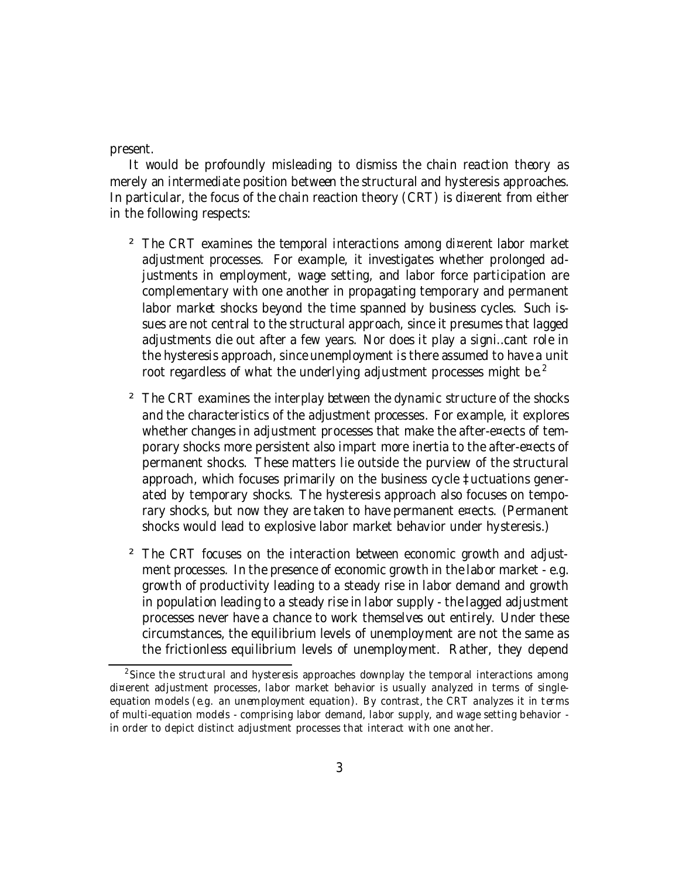present.

It would be profoundly misleading to dismiss the chain reaction theory as merely an intermediate position between the structural and hysteresis approaches. In particular, the focus of the chain reaction theory (CRT) is di¤erent from either in the following respects:

- <sup>2</sup> The CRT examines the temporal interactions among di¤erent labor market adjustment processes. For example, it investigates whether prolonged adjustments in employment, wage setting, and labor force participation are complementary with one another in propagating temporary and permanent labor market shocks beyond the time spanned by business cycles. Such issues are not central to the structural approach, since it presumes that lagged adjustments die out after a few years. Nor does it play a signi…cant role in the hysteresis approach, since unemployment is there assumed to have a unit root regardless of what the underlying adjustment processes might be.<sup>2</sup>
- <sup>2</sup> The CRT examines the interplay between the dynamic structure of the shocks and the characteristics of the adjustment processes. For example, it explores whether changes in adjustment processes that make the after-e¤ects of temporary shocks more persistent also impart more inertia to the after-e¤ects of permanent shocks. These matters lie outside the purview of the structural approach, which focuses primarily on the business cycle ‡uctuations generated by temporary shocks. The hysteresis approach also focuses on temporary shocks, but now they are taken to have permanent e¤ects. (Permanent shocks would lead to explosive labor market behavior under hysteresis.)
- <sup>2</sup> The CRT focuses on the interaction between economic growth and adjustment processes. In the presence of economic growth in the labor market - e.g. growth of productivity leading to a steady rise in labor demand and growth in population leading to a steady rise in labor supply - the lagged adjustment processes never have a chance to work themselves out entirely. Under these circumstances, the equilibrium levels of unemployment are not the same as the frictionless equilibrium levels of unemployment. Rather, they depend

<sup>&</sup>lt;sup>2</sup>Since the structural and hysteresis approaches downplay the temporal interactions among di¤erent adjustment processes, labor market behavior is usually analyzed in terms of singleequation models (e.g. an unemployment equation). By contrast, the CRT analyzes it in terms of multi-equation models - comprising labor demand, labor supply, and wage setting behavior in order to depict distinct adjustment processes that interact with one another.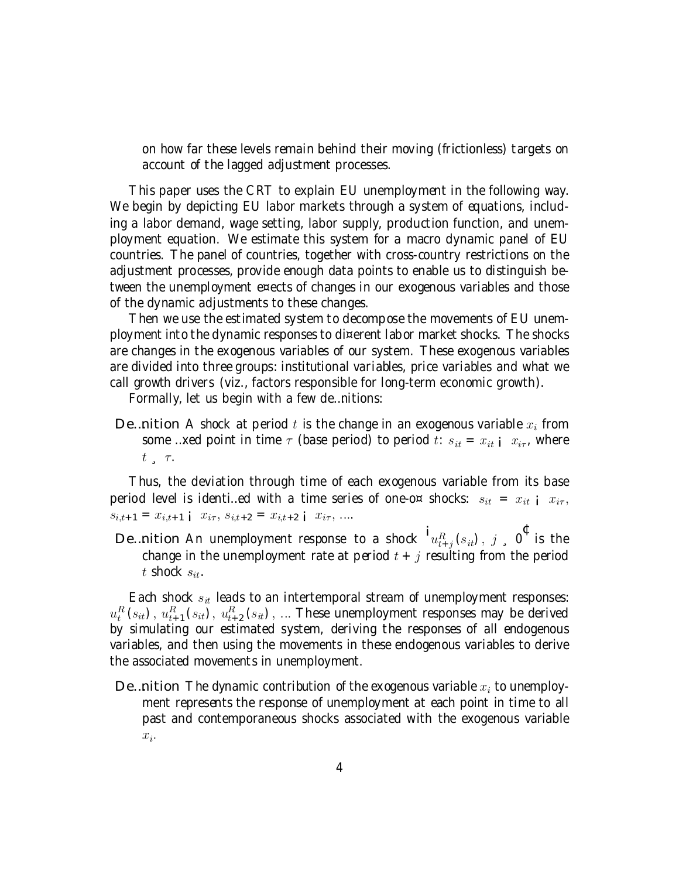on how far these levels remain behind their moving (frictionless) targets on account of the lagged adjustment processes.

This paper uses the CRT to explain EU unemployment in the following way. We begin by depicting EU labor markets through a system of equations, including a labor demand, wage setting, labor supply, production function, and unemployment equation. We estimate this system for a macro dynamic panel of EU countries. The panel of countries, together with cross-country restrictions on the adjustment processes, provide enough data points to enable us to distinguish between the unemployment e¤ects of changes in our exogenous variables and those of the dynamic adjustments to these changes.

Then we use the estimated system to decompose the movements of EU unemployment into the dynamic responses to di¤erent labor market shocks. The shocks are changes in the exogenous variables of our system. These exogenous variables are divided into three groups: institutional variables, price variables and what we call growth drivers (viz., factors responsible for long-term economic growth).

Formally, let us begin with a few de…nitions:

De…nition A shock at period t is the change in an exogenous variable  $x_i$  from some …xed point in time  $\tau$  (base period) to period  $t$ :  $s_{it} = x_{it}$  <sub>i</sub>  $\,$   $\,$   $x_{i\tau}$ , where  $t$ ,  $\tau$ .

Thus, the deviation through time of each exogenous variable from its base period level is identi…ed with a time series of one-o¤ shocks:  $s_{it} = x_{it}$  ;  $x_{i\tau}$ ,  $s_{i,t+1} = x_{i,t+1}$  ;  $x_{i\tau}, s_{i,t+2} = x_{i,t+2}$  ;  $x_{i\tau}, \ldots$ 

De...nition An unemployment response to a shock  $\mathbf{L}_{u_{t+j}}^R(s_{it})$ , j,  $\mathbf{0}^*$  is the change in the unemployment rate at period  $t$  +  $j$  resulting from the period t shock  $s_{it}$ .

Each shock  $s_{it}$  leads to an intertemporal stream of unemployment responses:  $u_t^R\left(s_{it}\right),\ u_{t+1}^R\left(s_{it}\right),\ u_{t+2}^R\left(s_{it}\right),\ ...$  These unemployment responses may be derived by simulating our estimated system, deriving the responses of all endogenous variables, and then using the movements in these endogenous variables to derive the associated movements in unemployment.

De...nition The dynamic contribution of the exogenous variable  $x_i$  to unemployment represents the response of unemployment at each point in time to all past and contemporaneous shocks associated with the exogenous variable  $x_i$ .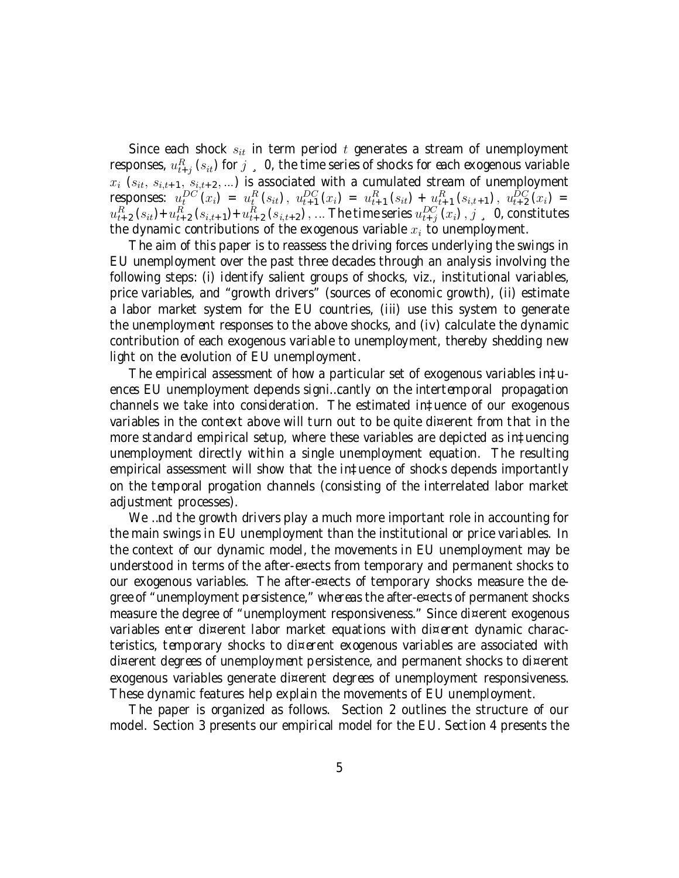Since each shock  $s_{it}$  in term period  $t$  generates a stream of unemployment responses,  $u_{t+j}^{R}\left(s_{it}\right)$  for  $j$   $\Box$  0, the time series of shocks for each exogenous variable  $x_i$   $(s_{it},\, s_{i,t+1},\, s_{i,t+2},...)$  is associated with a cumulated stream of unemployment responses:  $u_t^{DC}(x_i) = u_t^R(s_{it}), u_{t+1}^{DC}(x_i) = u_{t+1}^R(s_{it}) + u_{t+1}^R(s_{i,t+1}), u_{t+2}^{DC}(x_i) =$  $u_{t+2}^R\left(s_{it}\right)+u_{t+2}^R\left(s_{i,t+1}\right)+u_{t+2}^R\left(s_{i,t+2}\right),$  ... The time series  $u_{t+j}^{DC}\left(x_i\right),$   $j$   $\,$   $\,$  0, constitutes the dynamic contributions of the exogenous variable  $x_i$  to unemployment.

The aim of this paper is to reassess the driving forces underlying the swings in EU unemployment over the past three decades through an analysis involving the following steps: (i) identify salient groups of shocks, viz., institutional variables, price variables, and "growth drivers" (sources of economic growth), (ii) estimate a labor market system for the EU countries, (iii) use this system to generate the unemployment responses to the above shocks, and (iv) calculate the dynamic contribution of each exogenous variable to unemployment, thereby shedding new light on the evolution of EU unemployment.

The empirical assessment of how a particular set of exogenous variables in‡uences EU unemployment depends signi…cantly on the intertemporal propagation channels we take into consideration. The estimated in‡uence of our exogenous variables in the context above will turn out to be quite di¤erent from that in the more standard empirical setup, where these variables are depicted as in‡uencing unemployment directly within a single unemployment equation. The resulting empirical assessment will show that the in‡uence of shocks depends importantly on the temporal progation channels (consisting of the interrelated labor market adjustment processes).

We …nd the growth drivers play a much more important role in accounting for the main swings in EU unemployment than the institutional or price variables. In the context of our dynamic model, the movements in EU unemployment may be understood in terms of the after-e¤ects from temporary and permanent shocks to our exogenous variables. The after-e¤ects of temporary shocks measure the degree of "unemployment persistence," whereas the after-e¤ects of permanent shocks measure the degree of "unemployment responsiveness." Since di¤erent exogenous variables enter di¤erent labor market equations with di¤erent dynamic characteristics, temporary shocks to di¤erent exogenous variables are associated with di¤erent degrees of unemployment persistence, and permanent shocks to di¤erent exogenous variables generate di¤erent degrees of unemployment responsiveness. These dynamic features help explain the movements of EU unemployment.

The paper is organized as follows. Section 2 outlines the structure of our model. Section 3 presents our empirical model for the EU. Section 4 presents the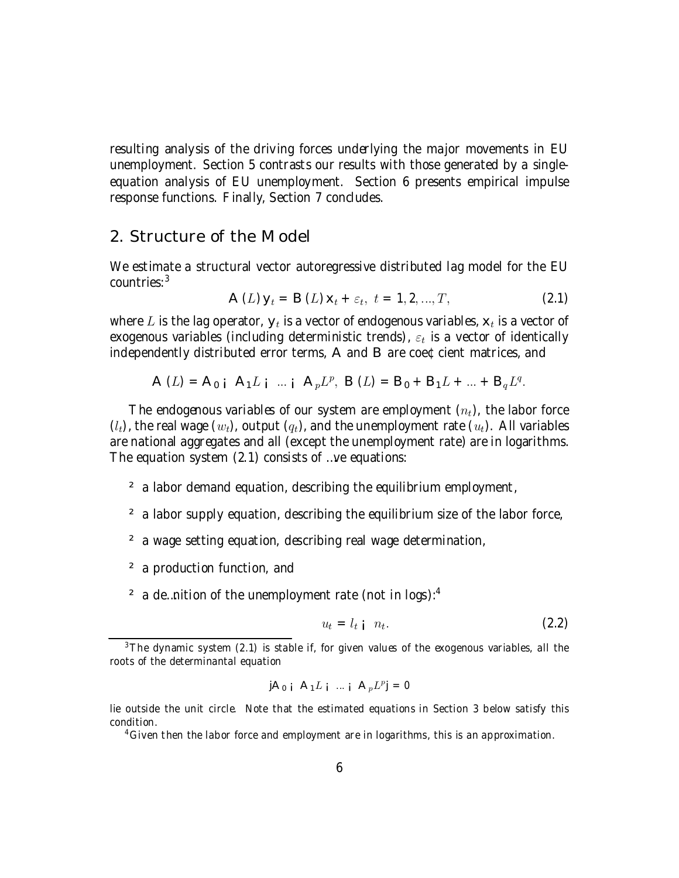resulting analysis of the driving forces underlying the major movements in EU unemployment. Section 5 contrasts our results with those generated by a singleequation analysis of EU unemployment. Section 6 presents empirical impulse response functions. Finally, Section 7 concludes.

#### 2. Structure of the Model

We estimate a structural vector autoregressive distributed lag model for the EU countries: $^3$ 

$$
A(L)y_t = B(L)x_t + \varepsilon_t, t = 1, 2, ..., T,
$$
\n(2.1)

where L is the lag operator,  $y_t$  is a vector of endogenous variables,  $x_t$  is a vector of exogenous variables (including deterministic trends),  $\varepsilon_t$  is a vector of identically independently distributed error terms, A and B are coe¢cient matrices, and

$$
A(L) = A_0 i A_1 L i ... i A_p L^p, B(L) = B_0 + B_1 L + ... + B_q L^q.
$$

The endogenous variables of our system are employment  $(n_t)$ , the labor force  $(l_t)$ , the real wage  $(w_t)$ , output  $(q_t)$ , and the unemployment rate  $(u_t)$ . All variables are national aggregates and all (except the unemployment rate) are in logarithms. The equation system (2.1) consists of …ve equations:

- <sup>2</sup> a labor demand equation, describing the equilibrium employment,
- <sup>2</sup> a labor supply equation, describing the equilibrium size of the labor force,
- <sup>2</sup> a wage setting equation, describing real wage determination,
- ² a production function, and
- $2$  a de…nition of the unemployment rate (not in logs):<sup>4</sup>

$$
u_t = l_t \mid n_t. \tag{2.2}
$$

$$
jA_0 \mid A_1L \mid ... \mid A_pL^p j = 0
$$

 $3$ The dynamic system (2.1) is stable if, for given values of the exogenous variables, all the roots of the determinantal equation

lie outside the unit circle. Note that the estimated equations in Section 3 below satisfy this condition.

<sup>4</sup>Given then the labor force and employment are in logarithms, this is an approximation.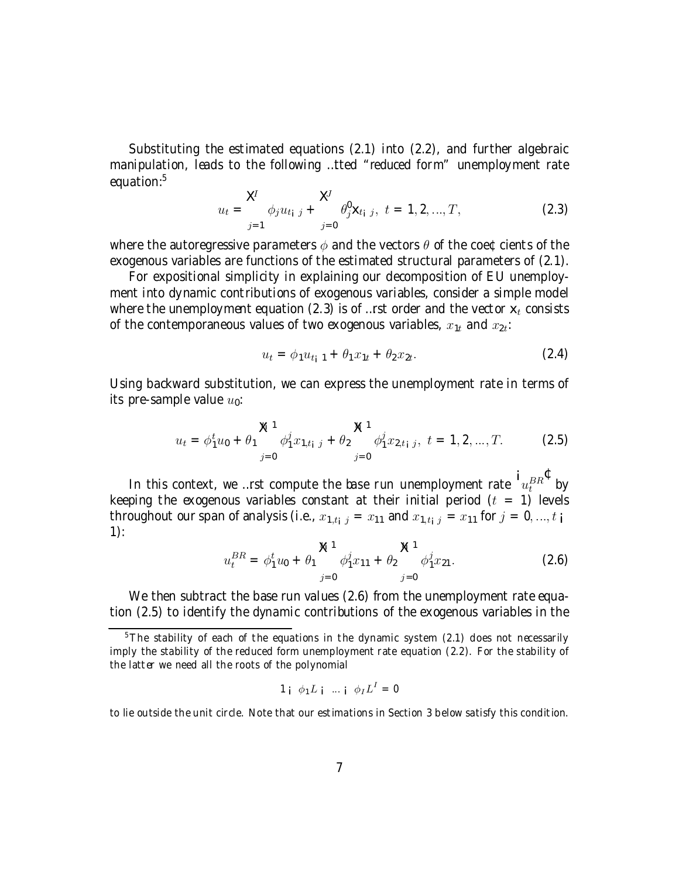Substituting the estimated equations (2.1) into (2.2), and further algebraic manipulation, leads to the following …tted "reduced form" unemployment rate equation: 5

$$
u_t = \sum_{j=1}^{K} \phi_j u_{tj} + \sum_{j=0}^{K} \theta_j^{\beta} x_{tj} , t = 1, 2, ..., T,
$$
 (2.3)

where the autoregressive parameters  $\phi$  and the vectors  $\theta$  of the coe¢cients of the exogenous variables are functions of the estimated structural parameters of (2.1).

For expositional simplicity in explaining our decomposition of EU unemployment into dynamic contributions of exogenous variables, consider a simple model where the unemployment equation (2.3) is of ...rst order and the vector  $x_t$  consists of the contemporaneous values of two exogenous variables,  $x_{1t}$  and  $x_{2t}{:}$ 

$$
u_t = \phi_1 u_{t_1} + \theta_1 x_{1t} + \theta_2 x_{2t}.
$$
 (2.4)

Using backward substitution, we can express the unemployment rate in terms of its pre-sample value  $u_0$ :

$$
u_t = \phi_1^t u_0 + \theta_1 \sum_{j=0}^{K^1} \phi_1^j x_{1,tj} + \theta_2 \sum_{j=0}^{K^1} \phi_1^j x_{2,tj} , t = 1, 2, ..., T.
$$
 (2.5)

In this context, we ...rst compute the base run unemployment rate  $\int u_t^{BR^*}$  by keeping the exogenous variables constant at their initial period  $(t = 1)$  levels throughout our span of analysis (i.e.,  $x_{1,t_i,j} = x_{11}$  and  $x_{1,t_i,j} = x_{11}$  for  $j = 0, ..., t_i$ 1):

$$
u_t^{BR} = \phi_1^t u_0 + \theta_1 \sum_{j=0}^{K^1} \phi_1^j x_{11} + \theta_2 \sum_{j=0}^{K^1} \phi_1^j x_{21}.
$$
 (2.6)

We then subtract the base run values (2.6) from the unemployment rate equation (2.5) to identify the dynamic contributions of the exogenous variables in the

$$
1 \mathbf{i} \quad \phi_1 L \mathbf{i} \quad \cdots \mathbf{i} \quad \phi_I L^I = 0
$$

to lie outside the unit circle. Note that our estimations in Section 3 below satisfy this condition.

 $5$ The stability of each of the equations in the dynamic system (2.1) does not necessarily imply the stability of the reduced form unemployment rate equation (2.2). For the stability of the latter we need all the roots of the polynomial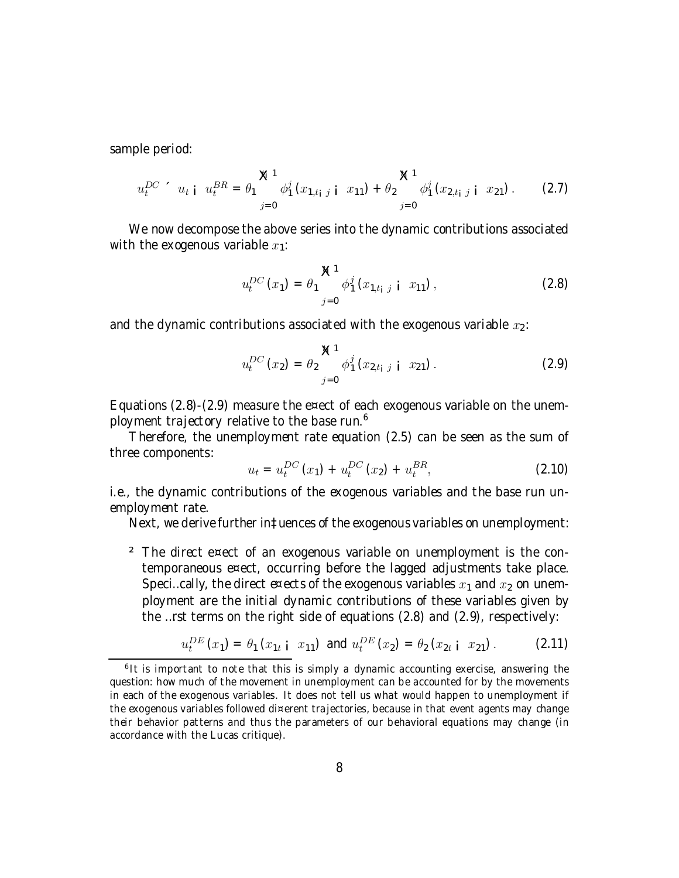sample period:

$$
u_t^{DC} \t u_t i u_t^{BR} = \theta_1 \sum_{j=0}^{1} \phi_1^j (x_{1,t_{i},j} i x_{11}) + \theta_2 \sum_{j=0}^{1} \phi_1^j (x_{2,t_{i},j} i x_{21}). \tag{2.7}
$$

We now decompose the above series into the dynamic contributions associated with the exogenous variable  $x_1$ :

$$
u_t^{DC}(x_1) = \theta_1 \sum_{j=0}^{1} \phi_1^j(x_{1,t_{i},j} \mid x_{11}), \qquad (2.8)
$$

and the dynamic contributions associated with the exogenous variable  $x_2$ :

$$
u_t^{DC}(x_2) = \theta_2 \sum_{j=0}^{1} \phi_1^j(x_{2,t_1,j} \mid x_{21}).
$$
 (2.9)

Equations (2.8)-(2.9) measure the e¤ect of each exogenous variable on the unemployment trajectory relative to the base run.<sup>6</sup>

Therefore, the unemployment rate equation (2.5) can be seen as the sum of three components:

$$
u_t = u_t^{DC}(x_1) + u_t^{DC}(x_2) + u_t^{BR}, \qquad (2.10)
$$

i.e., the dynamic contributions of the exogenous variables and the base run unemployment rate.

Next, we derive further in‡uences of the exogenous variables on unemployment:

<sup>2</sup> The direct e¤ect of an exogenous variable on unemployment is the contemporaneous e¤ect, occurring before the lagged adjustments take place. Speci...cally, the direct e¤ects of the exogenous variables  $x_1$  and  $x_2$  on unemployment are the initial dynamic contributions of these variables given by the …rst terms on the right side of equations (2.8) and (2.9), respectively:

$$
u_t^{DE}(x_1) = \theta_1(x_{1t} \mid x_{11}) \text{ and } u_t^{DE}(x_2) = \theta_2(x_{2t} \mid x_{21}). \tag{2.11}
$$

<sup>6</sup> It is important to note that this is simply a dynamic accounting exercise, answering the question: how much of the movement in unemployment can be accounted for by the movements in each of the exogenous variables. It does not tell us what would happen to unemployment if the exogenous variables followed di¤erent trajectories, because in that event agents may change their behavior patterns and thus the parameters of our behavioral equations may change (in accordance with the Lucas critique).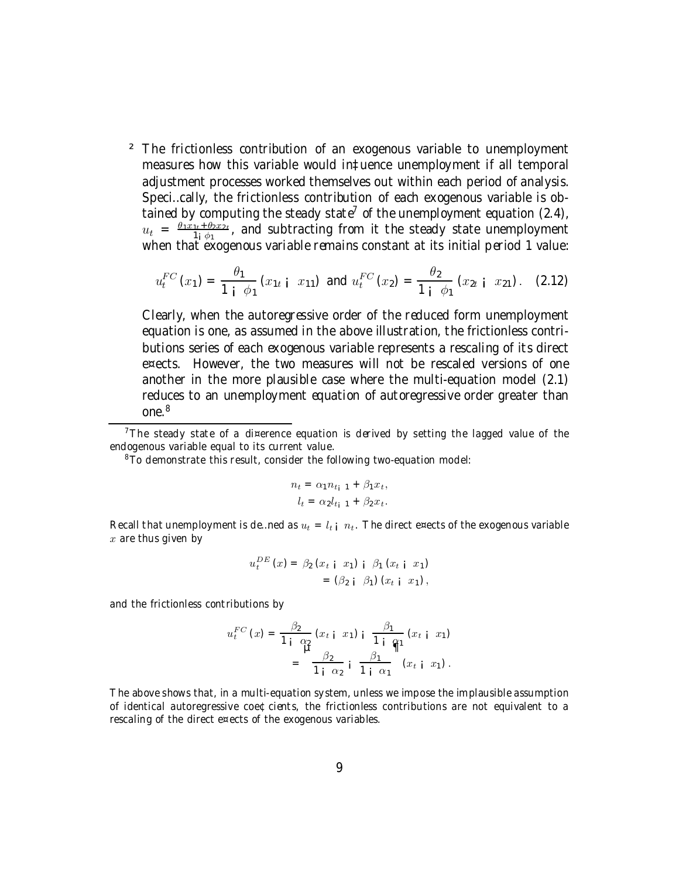<sup>2</sup> The frictionless contribution of an exogenous variable to unemployment measures how this variable would in‡uence unemployment if all temporal adjustment processes worked themselves out within each period of analysis. Speci…cally, the frictionless contribution of each exogenous variable is obtained by computing the steady state<sup>7</sup> of the unemployment equation (2.4),  $u_t = \frac{\theta_1 x_{1t} + \theta_2 x_{2t}}{1 + \phi_1}$  and subtracting from it the steady state unemployment when that exogenous variable remains constant at its initial period 1 value:

$$
u_t^{FC}(x_1) = \frac{\theta_1}{1 + \phi_1} (x_{1t+1} x_{11}) \text{ and } u_t^{FC}(x_2) = \frac{\theta_2}{1 + \phi_1} (x_{2t+1} x_{21}). \quad (2.12)
$$

Clearly, when the autoregressive order of the reduced form unemployment equation is one, as assumed in the above illustration, the frictionless contributions series of each exogenous variable represents a rescaling of its direct e¤ects. However, the two measures will not be rescaled versions of one another in the more plausible case where the multi-equation model (2.1) reduces to an unemployment equation of autoregressive order greater than one. 8

<sup>8</sup>To demonstrate this result, consider the following two-equation model:

$$
n_t = \alpha_1 n_{t_1 - 1} + \beta_1 x_t,
$$
  

$$
l_t = \alpha_2 l_{t_1 - 1} + \beta_2 x_t.
$$

Recall that unemployment is de…ned as  $u_t = l_t$  <sub>i</sub>  $n_t$ . The direct e¤ects of the exogenous variable  $x$  are thus given by

$$
u_t^{DE}(x) = \beta_2 (x_t \mid x_1) \mid \beta_1 (x_t \mid x_1)
$$
  
=  $(\beta_2 \mid \beta_1) (x_t \mid x_1),$ 

and the frictionless contributions by

$$
u_t^{FC}(x) = \frac{\beta_2}{1 + \alpha_2} (x_{t+1} x_1) + \frac{\beta_1}{1 + \alpha_1} (x_{t+1} x_1)
$$
  
= 
$$
\frac{\beta_2}{1 + \alpha_2} + \frac{\beta_1}{1 + \alpha_1} (x_{t+1} x_1).
$$

The above shows that, in a multi-equation system, unless we impose the implausible assumption of identical autoregressive coe¢cients, the frictionless contributions are not equivalent to a rescaling of the direct e¤ects of the exogenous variables.

<sup>&</sup>lt;sup>7</sup>The steady state of a di¤erence equation is derived by setting the lagged value of the endogenous variable equal to its current value.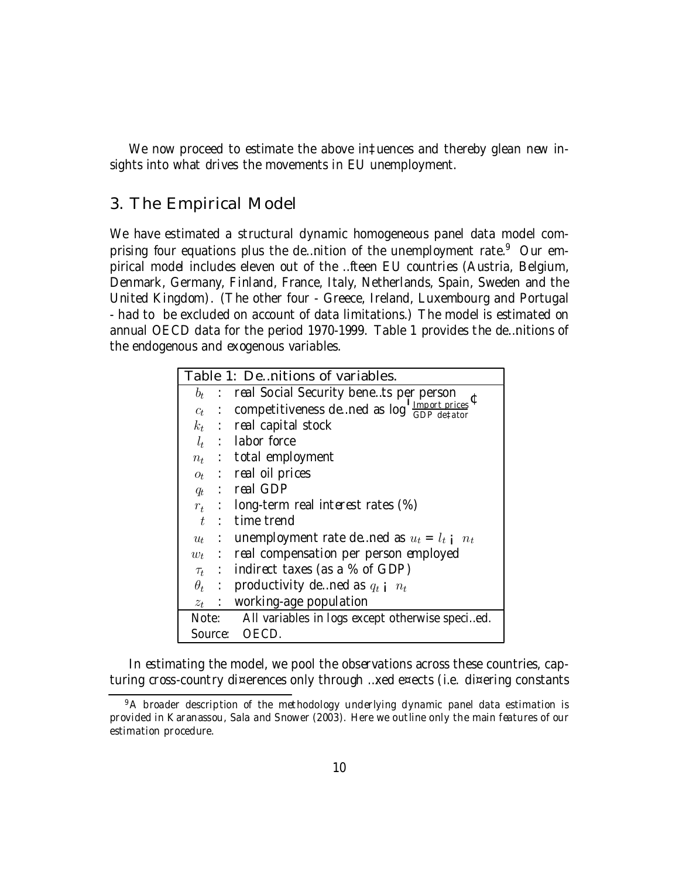We now proceed to estimate the above in‡uences and thereby glean new insights into what drives the movements in EU unemployment.

#### 3. The Empirical Model

We have estimated a structural dynamic homogeneous panel data model comprising four equations plus the de...nition of the unemployment rate.<sup>9</sup> Our empirical model includes eleven out of the …fteen EU countries (Austria, Belgium, Denmark, Germany, Finland, France, Italy, Netherlands, Spain, Sweden and the United Kingdom). (The other four - Greece, Ireland, Luxembourg and Portugal - had to be excluded on account of data limitations.) The model is estimated on annual OECD data for the period 1970-1999. Table 1 provides the de…nitions of the endogenous and exogenous variables.

|              | Table 1: De nitions of variables. |                                                                    |  |  |  |  |  |  |
|--------------|-----------------------------------|--------------------------------------------------------------------|--|--|--|--|--|--|
| $b_t$        |                                   | : real Social Security benets per person                           |  |  |  |  |  |  |
|              |                                   | $c_t$ : competitiveness de ned as $log$ <sup>1</sup> Import prices |  |  |  |  |  |  |
| $k_t$        | ÷                                 | real capital stock                                                 |  |  |  |  |  |  |
|              |                                   | $l_t$ : labor force                                                |  |  |  |  |  |  |
|              |                                   | $n_t$ : total employment                                           |  |  |  |  |  |  |
|              |                                   | $o_t$ : real oil prices                                            |  |  |  |  |  |  |
|              |                                   | $q_t$ : real GDP                                                   |  |  |  |  |  |  |
| $r_t$        |                                   | : long-term real interest rates (%)                                |  |  |  |  |  |  |
| t            |                                   | time trend                                                         |  |  |  |  |  |  |
| $u_t$ :      |                                   | unemployment rate de ned as $u_t = l_t$ i $n_t$                    |  |  |  |  |  |  |
| $w_t$ :      |                                   | real compensation per person employed                              |  |  |  |  |  |  |
|              |                                   | $\tau_t$ : indirect taxes (as a % of GDP)                          |  |  |  |  |  |  |
| $\theta_t$ : |                                   | productivity de ned as $q_t$ i $n_t$                               |  |  |  |  |  |  |
| $z_t$        | $\mathcal{A}_{\mathcal{A}}$       | working-age population                                             |  |  |  |  |  |  |
| Note:        |                                   | All variables in logs except otherwise specied.                    |  |  |  |  |  |  |
| Source:      |                                   | OECD.                                                              |  |  |  |  |  |  |

In estimating the model, we pool the observations across these countries, capturing cross-country di¤erences only through …xed e¤ects (i.e. di¤ering constants

<sup>9</sup>A broader description of the methodology underlying dynamic panel data estimation is provided in Karanassou, Sala and Snower (2003). Here we outline only the main features of our estimation procedure.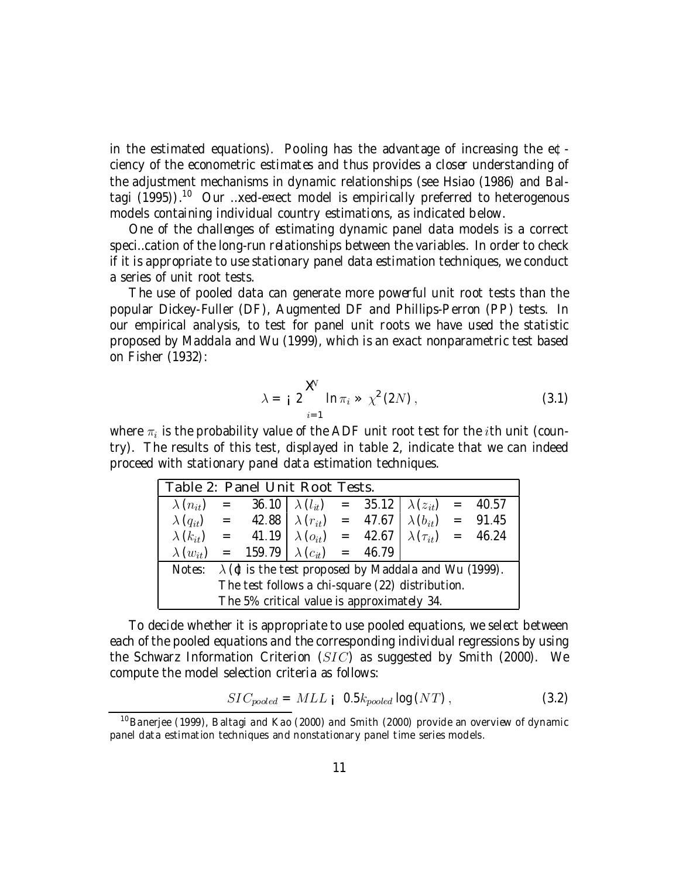in the estimated equations). Pooling has the advantage of increasing the  $e\Phi$ ciency of the econometric estimates and thus provides a closer understanding of the adjustment mechanisms in dynamic relationships (see Hsiao (1986) and Baltagi (1995)).<sup>10</sup> Our ...xed-e¤ect model is empirically preferred to heterogenous models containing individual country estimations, as indicated below.

One of the challenges of estimating dynamic panel data models is a correct speci…cation of the long-run relationships between the variables. In order to check if it is appropriate to use stationary panel data estimation techniques, we conduct a series of unit root tests.

The use of pooled data can generate more powerful unit root tests than the popular Dickey-Fuller (DF), Augmented DF and Phillips-Perron (PP) tests. In our empirical analysis, to test for panel unit roots we have used the statistic proposed by Maddala and Wu (1999), which is an exact nonparametric test based on Fisher (1932):

$$
\lambda = \mathbf{i} \; 2 \sum_{i=1}^{M} \ln \pi_i \gg \chi^2(2N) \,, \tag{3.1}
$$

where  $\pi_i$  is the probability value of the ADF unit root test for the  $i$ th unit (country). The results of this test, displayed in table 2, indicate that we can indeed proceed with stationary panel data estimation techniques.

| Table 2: Panel Unit Root Tests.                                        |  |                                                                                     |  |  |  |  |     |       |
|------------------------------------------------------------------------|--|-------------------------------------------------------------------------------------|--|--|--|--|-----|-------|
|                                                                        |  | $\lambda(n_{it})$ = 36.10 $\lambda(l_{it})$ = 35.12 $\lambda(z_{it})$               |  |  |  |  | $=$ | 40.57 |
|                                                                        |  | $\lambda (q_{it})$ = 42.88 $\lambda (r_{it})$ = 47.67 $\lambda (b_{it})$ = 91.45    |  |  |  |  |     |       |
|                                                                        |  | $\lambda (k_{it})$ = 41.19 $\lambda (o_{it})$ = 42.67 $\lambda (\tau_{it})$ = 46.24 |  |  |  |  |     |       |
| $\lambda(w_{it})$                                                      |  | $= 159.79 \mid \lambda(c_{it}) = 46.79$                                             |  |  |  |  |     |       |
| $\lambda$ (c) is the test proposed by Maddala and Wu (1999).<br>Notes: |  |                                                                                     |  |  |  |  |     |       |
| The test follows a chi-square (22) distribution.                       |  |                                                                                     |  |  |  |  |     |       |
| The 5% critical value is approximately 34.                             |  |                                                                                     |  |  |  |  |     |       |

To decide whether it is appropriate to use pooled equations, we select between each of the pooled equations and the corresponding individual regressions by using the Schwarz Information Criterion (SIC) as suggested by Smith (2000). We compute the model selection criteria as follows:

$$
SIC_{pooled} = MLL \text{ i } 0.5k_{pooled} \log (NT) , \qquad (3.2)
$$

 $10$ Banerjee (1999), Baltagi and Kao (2000) and Smith (2000) provide an overview of dynamic panel data estimation techniques and nonstationary panel time series models.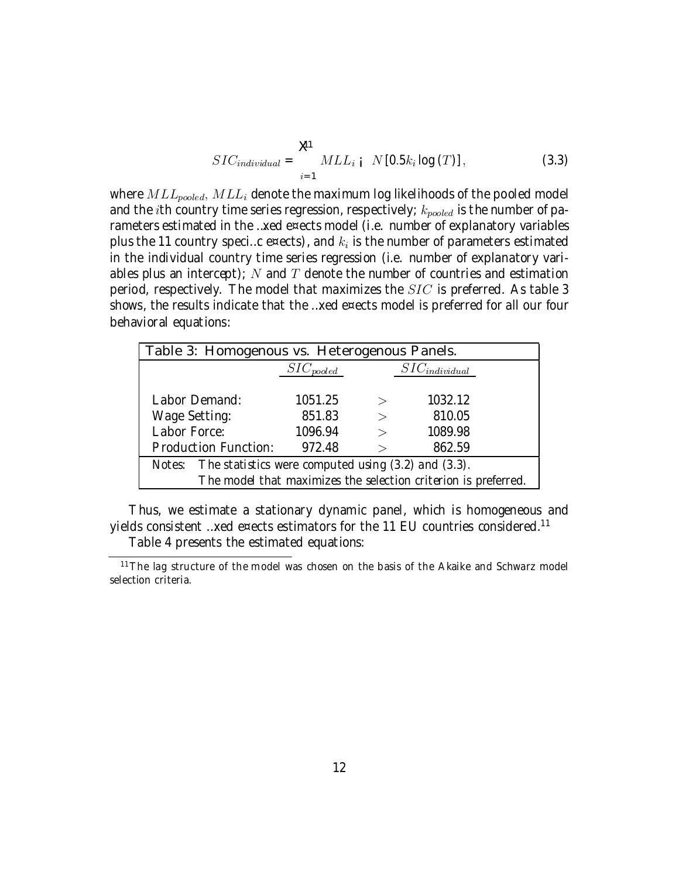$$
SIC_{individual} = \sum_{i=1}^{N} MLL_i \mid N[0.5k_i \log(T)], \qquad (3.3)
$$

where  $MLL_{pooled}$ ,  $MLL_i$  denote the maximum log likelihoods of the pooled model and the *i*th country time series regression, respectively;  $k_{pooled}$  is the number of parameters estimated in the …xed e¤ects model (i.e. number of explanatory variables plus the 11 country speci...c e¤ects), and  $k_i$  is the number of parameters estimated in the individual country time series regression (i.e. number of explanatory variables plus an intercept);  $N$  and  $T$  denote the number of countries and estimation period, respectively. The model that maximizes the  $SIC$  is preferred. As table 3 shows, the results indicate that the ... xed e¤ects model is preferred for all our four behavioral equations:

| Table 3: Homogenous vs. Heterogenous Panels.                   |                   |                      |                   |  |  |  |  |
|----------------------------------------------------------------|-------------------|----------------------|-------------------|--|--|--|--|
|                                                                | $SIC_{pooled}$    | $SIC_{individual}$   |                   |  |  |  |  |
| Labor Demand:                                                  | 1051.25           | $\rm{>}$             | 1032.12           |  |  |  |  |
| Wage Setting:<br>Labor Force:                                  | 851.83<br>1096.94 | $\rm{>}$<br>$\rm{>}$ | 810.05<br>1089.98 |  |  |  |  |
| <b>Production Function:</b>                                    | 972.48            | $\rm{>}$             | 862.59            |  |  |  |  |
| Notes: The statistics were computed using (3.2) and (3.3).     |                   |                      |                   |  |  |  |  |
| The model that maximizes the selection criterion is preferred. |                   |                      |                   |  |  |  |  |

Thus, we estimate a stationary dynamic panel, which is homogeneous and yields consistent …xed e¤ects estimators for the 11 EU countries considered.<sup>11</sup> Table 4 presents the estimated equations:

<sup>&</sup>lt;sup>11</sup>The lag structure of the model was chosen on the basis of the Akaike and Schwarz model selection criteria.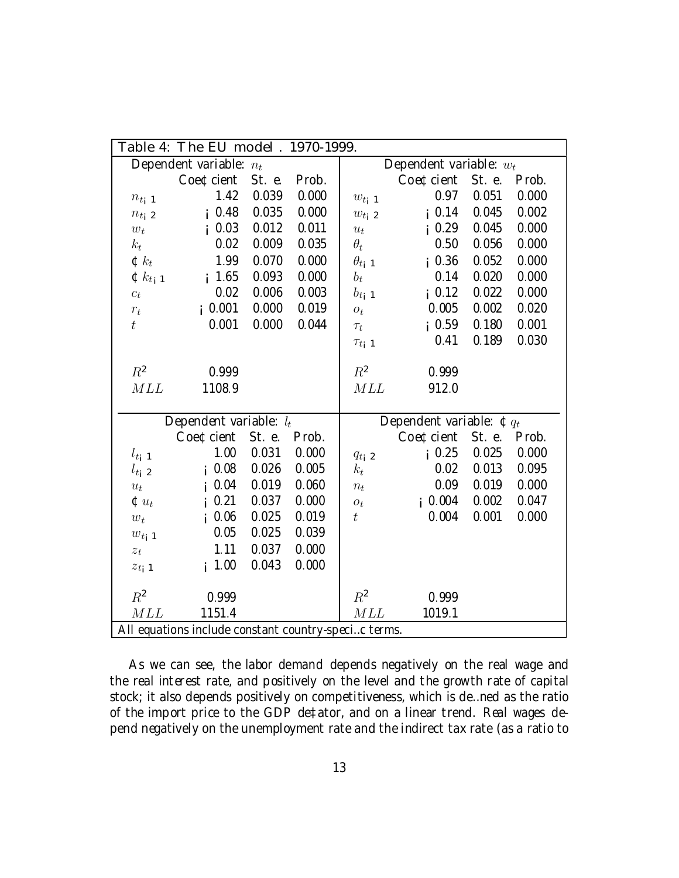|                                                        | Table 4: The EU model . 1970-1999. |        |       |                         |                                          |        |       |
|--------------------------------------------------------|------------------------------------|--------|-------|-------------------------|------------------------------------------|--------|-------|
| Dependent variable: $n_t$<br>Dependent variable: $w_t$ |                                    |        |       |                         |                                          |        |       |
|                                                        | Coe¢cient                          | St. e. | Prob. |                         | Coe¢cient                                | St. e. | Prob. |
| $n_{t_i}$ 1                                            | 1.42                               | 0.039  | 0.000 | $w_{t_i}$ 1             | 0.97                                     | 0.051  | 0.000 |
| $n_{t}$ 2                                              | i 0.48                             | 0.035  | 0.000 | $w_{t}$ 2               | i 0.14                                   | 0.045  | 0.002 |
| $w_t$                                                  | $i$ 0.03                           | 0.012  | 0.011 | $u_t$                   | 10.29                                    | 0.045  | 0.000 |
| $k_t$                                                  | 0.02                               | 0.009  | 0.035 | $\theta_t$              | 0.50                                     | 0.056  | 0.000 |
| $\mathbf{\Phi} k_t$                                    | 1.99                               | 0.070  | 0.000 | $\theta_{t}$ 1          | $i$ 0.36                                 | 0.052  | 0.000 |
| $\mathbf{\Phi}_{k_{t}+1}$                              | $i$ 1.65                           | 0.093  | 0.000 | $b_t$                   | 0.14                                     | 0.020  | 0.000 |
| $c_t$                                                  | 0.02                               | 0.006  | 0.003 | $b_{t}$ 1               | $i$ 0.12                                 | 0.022  | 0.000 |
| $r_{t}$                                                | i 0.001                            | 0.000  | 0.019 | $o_t$                   | 0.005                                    | 0.002  | 0.020 |
| $\boldsymbol{t}$                                       | 0.001                              | 0.000  | 0.044 | $\tau_t$                | $i$ 0.59                                 | 0.180  | 0.001 |
|                                                        |                                    |        |       | $\tau_{t}$ 1            | 0.41                                     | 0.189  | 0.030 |
|                                                        |                                    |        |       |                         |                                          |        |       |
| $R^2$                                                  | 0.999                              |        |       | $R^2$                   | 0.999                                    |        |       |
| $MLL$                                                  | 1108.9                             |        |       | $\cal{M}\cal{L}\cal{L}$ | 912.0                                    |        |       |
|                                                        |                                    |        |       |                         |                                          |        |       |
|                                                        | Dependent variable: $l_t$          |        |       |                         | Dependent variable: $\mathfrak{c}_{q_t}$ |        |       |
|                                                        | Coe¢cient                          | St. e. | Prob. |                         | Coe¢cient                                | St. e. | Prob. |
| $l_{t_1}$ 1                                            | 1.00                               | 0.031  | 0.000 | $q_{t}$ 2               | 10.25                                    | 0.025  | 0.000 |
| $l_{t_1}$ 2                                            | 10.08                              | 0.026  | 0.005 | $k_t$                   | 0.02                                     | 0.013  | 0.095 |
| $u_t$                                                  | 0.04<br>i                          | 0.019  | 0.060 | $n_{t}$                 | 0.09                                     | 0.019  | 0.000 |
| $\mathfrak{c}_{u_t}$                                   | 0.21<br>$\mathbf{i}$               | 0.037  | 0.000 | $\overline{o_t}$        | $i$ 0.004                                | 0.002  | 0.047 |
| $w_t$                                                  | 10.06                              | 0.025  | 0.019 | $\boldsymbol{t}$        | 0.004                                    | 0.001  | 0.000 |
| $w_{t_i}$ 1                                            | 0.05                               | 0.025  | 0.039 |                         |                                          |        |       |
| $z_t$                                                  | 1.11                               | 0.037  | 0.000 |                         |                                          |        |       |
| $z_{t}$ 1                                              | $i$ 1.00                           | 0.043  | 0.000 |                         |                                          |        |       |
|                                                        |                                    |        |       |                         |                                          |        |       |
| $R^2$                                                  | 0.999                              |        |       | $R^2$                   | 0.999                                    |        |       |
| MLL                                                    | 1151.4                             |        |       | MLL                     | 1019.1                                   |        |       |
| All equations include constant country-specic terms.   |                                    |        |       |                         |                                          |        |       |

As we can see, the labor demand depends negatively on the real wage and the real interest rate, and positively on the level and the growth rate of capital stock; it also depends positively on competitiveness, which is de…ned as the ratio of the import price to the GDP de‡ator, and on a linear trend. Real wages depend negatively on the unemployment rate and the indirect tax rate (as a ratio to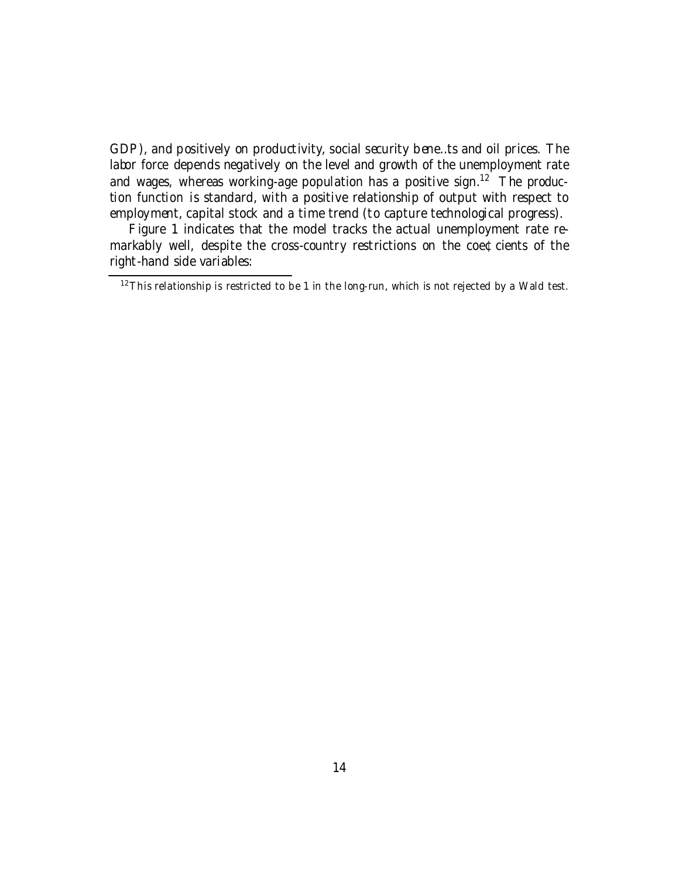GDP), and positively on productivity, social security bene…ts and oil prices. The labor force depends negatively on the level and growth of the unemployment rate and wages, whereas working-age population has a positive sign.<sup>12</sup> The production function is standard, with a positive relationship of output with respect to employment, capital stock and a time trend (to capture technological progress).

Figure 1 indicates that the model tracks the actual unemployment rate remarkably well, despite the cross-country restrictions on the coe¢cients of the right-hand side variables:

 $12$ This relationship is restricted to be 1 in the long-run, which is not rejected by a Wald test.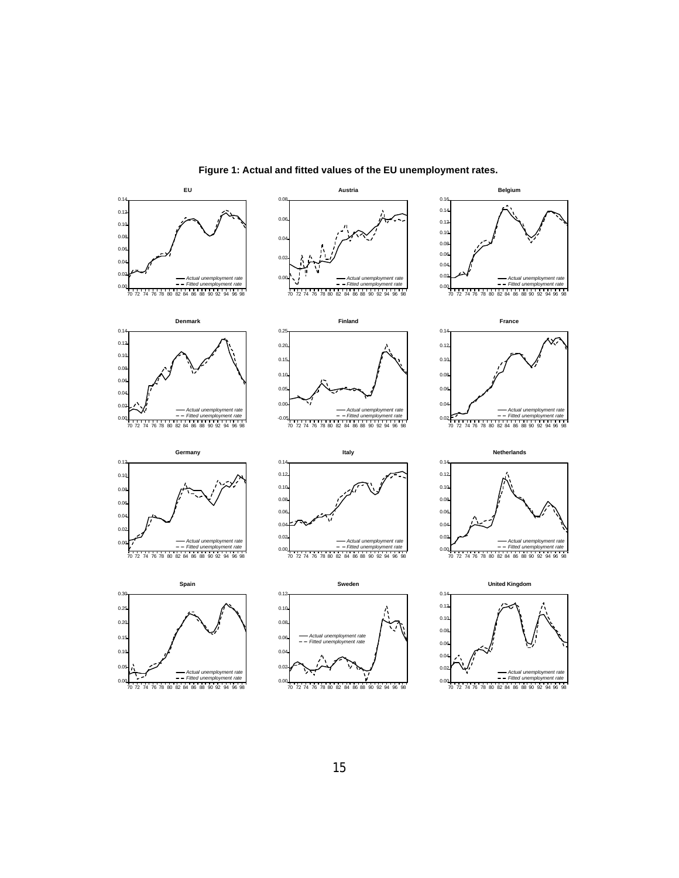

**Figure 1: Actual and fitted values of the EU unemployment rates.**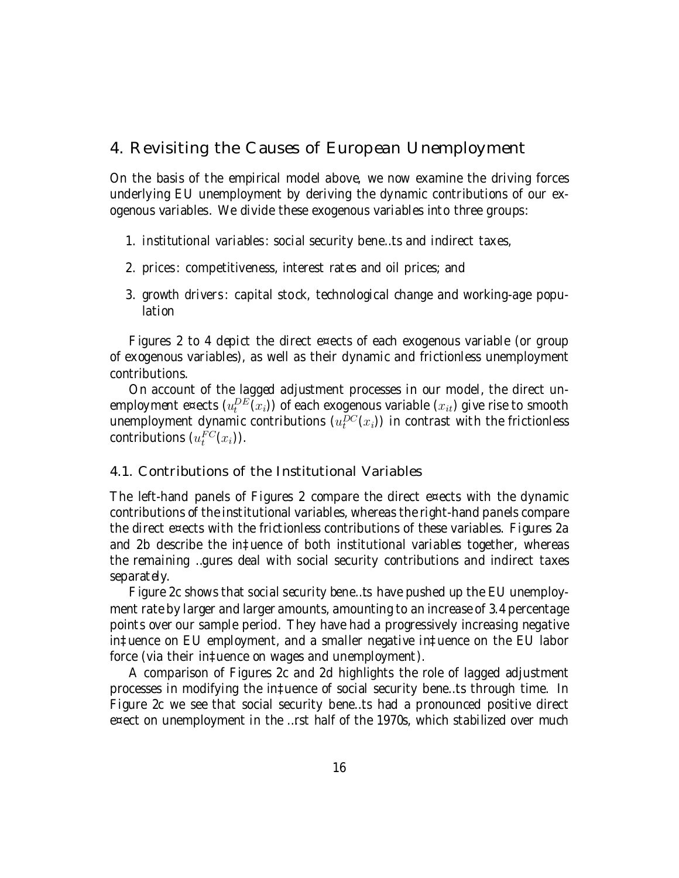#### 4. Revisiting the Causes of European Unemployment

On the basis of the empirical model above, we now examine the driving forces underlying EU unemployment by deriving the dynamic contributions of our exogenous variables. We divide these exogenous variables into three groups:

- 1. institutional variables: social security bene…ts and indirect taxes,
- 2. prices: competitiveness, interest rates and oil prices; and
- 3. growth drivers: capital stock, technological change and working-age population

Figures 2 to 4 depict the direct e¤ects of each exogenous variable (or group of exogenous variables), as well as their dynamic and frictionless unemployment contributions.

On account of the lagged adjustment processes in our model, the direct unemployment e¤ects  $(u_t^{DE}(x_i))$  of each exogenous variable  $(x_{it})$  give rise to smooth unemployment dynamic contributions  $(u^{DC}_t(x_i))$  in contrast with the frictionless contributions  $(u_t^{FC}(x_i))$ .

#### 4.1. Contributions of the Institutional Variables

The left-hand panels of Figures 2 compare the direct e¤ects with the dynamic contributions of the institutional variables, whereas the right-hand panels compare the direct e¤ects with the frictionless contributions of these variables. Figures 2a and 2b describe the in‡uence of both institutional variables together, whereas the remaining …gures deal with social security contributions and indirect taxes separately.

Figure 2c shows that social security bene…ts have pushed up the EU unemployment rate by larger and larger amounts, amounting to an increase of 3.4 percentage points over our sample period. They have had a progressively increasing negative in‡uence on EU employment, and a smaller negative in‡uence on the EU labor force (via their in‡uence on wages and unemployment).

A comparison of Figures 2c and 2d highlights the role of lagged adjustment processes in modifying the in‡uence of social security bene…ts through time. In Figure 2c we see that social security bene…ts had a pronounced positive direct e¤ect on unemployment in the …rst half of the 1970s, which stabilized over much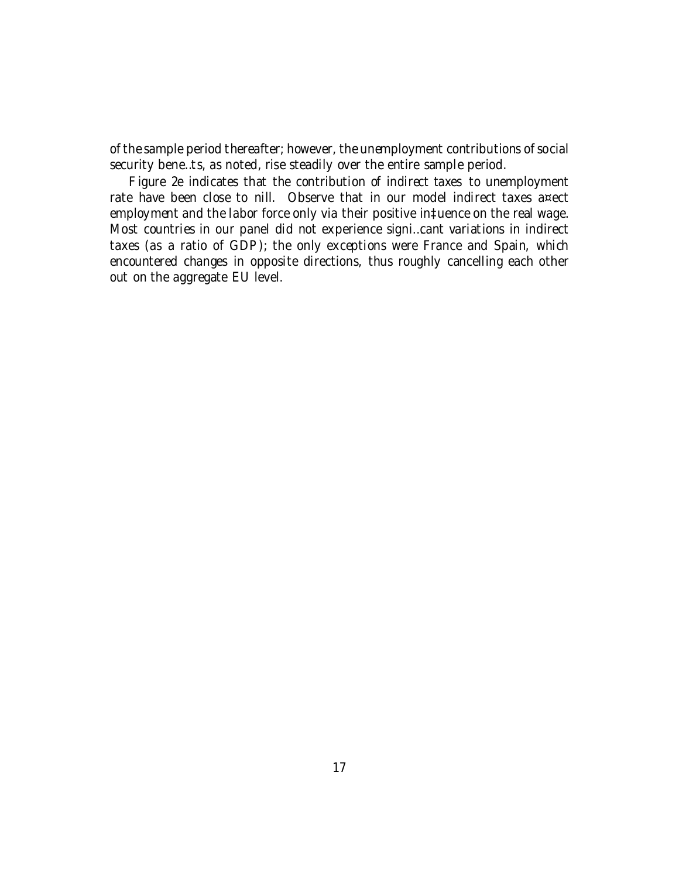of the sample period thereafter; however, the unemployment contributions of social security bene…ts, as noted, rise steadily over the entire sample period.

Figure 2e indicates that the contribution of indirect taxes to unemployment rate have been close to nill. Observe that in our model indirect taxes a¤ect employment and the labor force only via their positive in‡uence on the real wage. Most countries in our panel did not experience signi…cant variations in indirect taxes (as a ratio of GDP); the only exceptions were France and Spain, which encountered changes in opposite directions, thus roughly cancelling each other out on the aggregate EU level.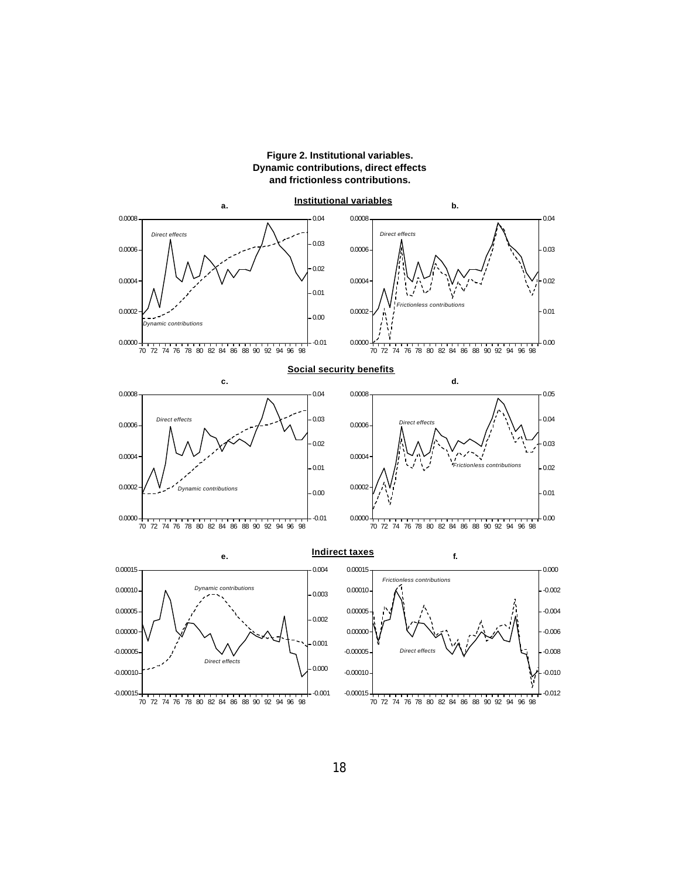#### **Figure 2. Institutional variables. Dynamic contributions, direct effects and frictionless contributions.**





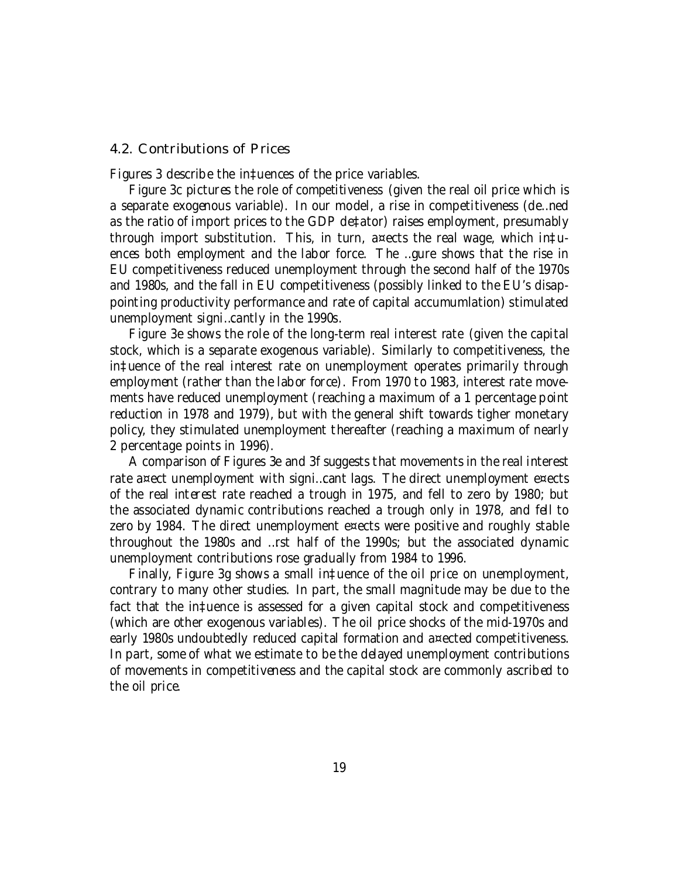#### 4.2. Contributions of Prices

Figures 3 describe the in‡uences of the price variables.

Figure 3c pictures the role of competitiveness (given the real oil price which is a separate exogenous variable). In our model, a rise in competitiveness (de…ned as the ratio of import prices to the GDP de‡ator) raises employment, presumably through import substitution. This, in turn, a¤ects the real wage, which in‡uences both employment and the labor force. The …gure shows that the rise in EU competitiveness reduced unemployment through the second half of the 1970s and 1980s, and the fall in EU competitiveness (possibly linked to the EU's disappointing productivity performance and rate of capital accumumlation) stimulated unemployment signi…cantly in the 1990s.

Figure 3e shows the role of the long-term real interest rate (given the capital stock, which is a separate exogenous variable). Similarly to competitiveness, the in‡uence of the real interest rate on unemployment operates primarily through employment (rather than the labor force). From 1970 to 1983, interest rate movements have reduced unemployment (reaching a maximum of a 1 percentage point reduction in 1978 and 1979), but with the general shift towards tigher monetary policy, they stimulated unemployment thereafter (reaching a maximum of nearly 2 percentage points in 1996).

A comparison of Figures 3e and 3f suggests that movements in the real interest rate a¤ect unemployment with signi…cant lags. The direct unemployment e¤ects of the real interest rate reached a trough in 1975, and fell to zero by 1980; but the associated dynamic contributions reached a trough only in 1978, and fell to zero by 1984. The direct unemployment e¤ects were positive and roughly stable throughout the 1980s and …rst half of the 1990s; but the associated dynamic unemployment contributions rose gradually from 1984 to 1996.

Finally, Figure 3g shows a small in‡uence of the oil price on unemployment, contrary to many other studies. In part, the small magnitude may be due to the fact that the in‡uence is assessed for a given capital stock and competitiveness (which are other exogenous variables). The oil price shocks of the mid-1970s and early 1980s undoubtedly reduced capital formation and a¤ected competitiveness. In part, some of what we estimate to be the delayed unemployment contributions of movements in competitiveness and the capital stock are commonly ascribed to the oil price.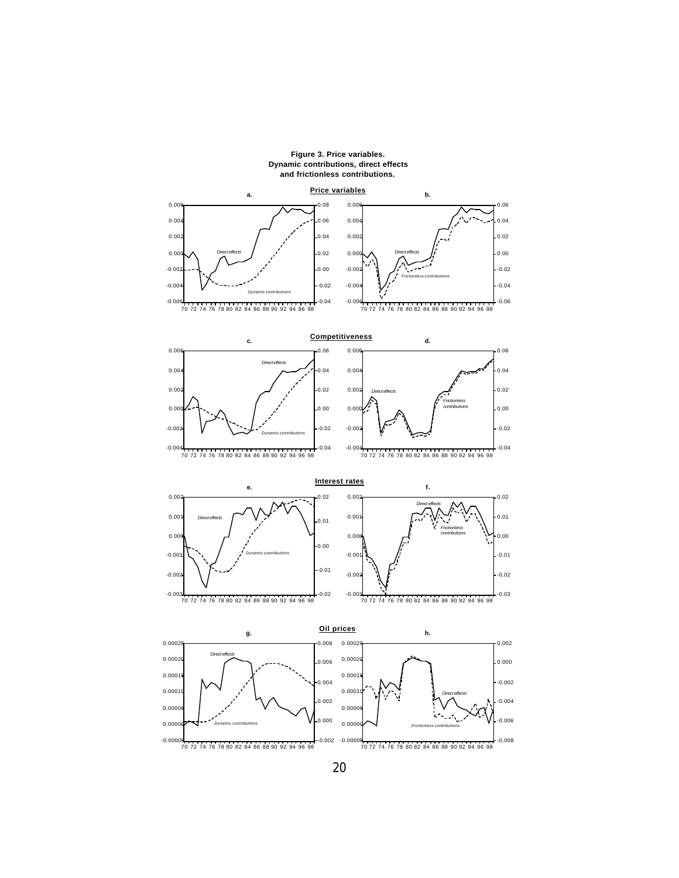

**Figure 3. Price variables. Dynamic contributions, direct effects**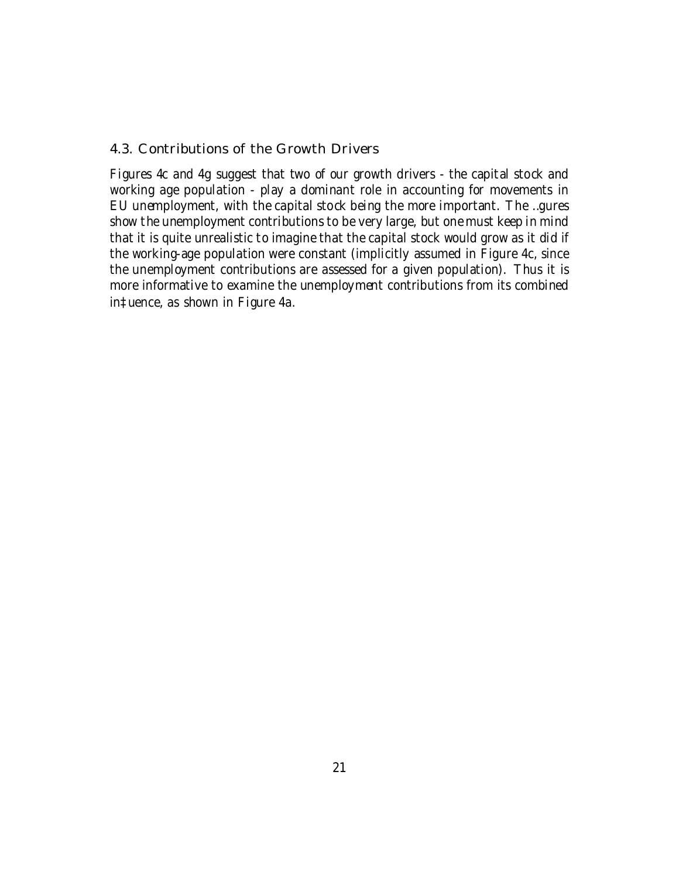#### 4.3. Contributions of the Growth Drivers

Figures 4c and 4g suggest that two of our growth drivers - the capital stock and working age population - play a dominant role in accounting for movements in EU unemployment, with the capital stock being the more important. The …gures show the unemployment contributions to be very large, but one must keep in mind that it is quite unrealistic to imagine that the capital stock would grow as it did if the working-age population were constant (implicitly assumed in Figure 4c, since the unemployment contributions are assessed for a given population). Thus it is more informative to examine the unemployment contributions from its combined in‡uence, as shown in Figure 4a.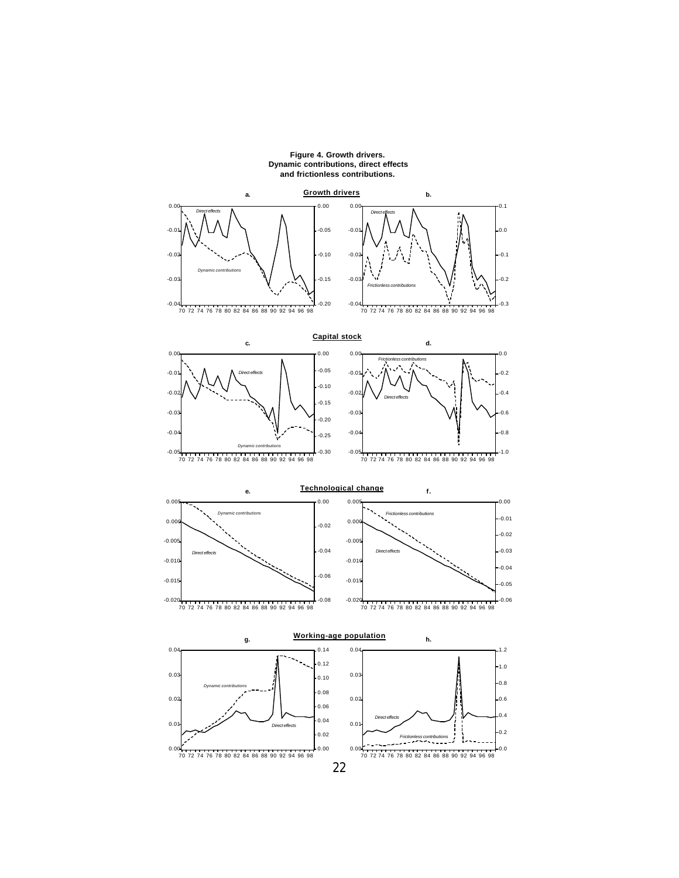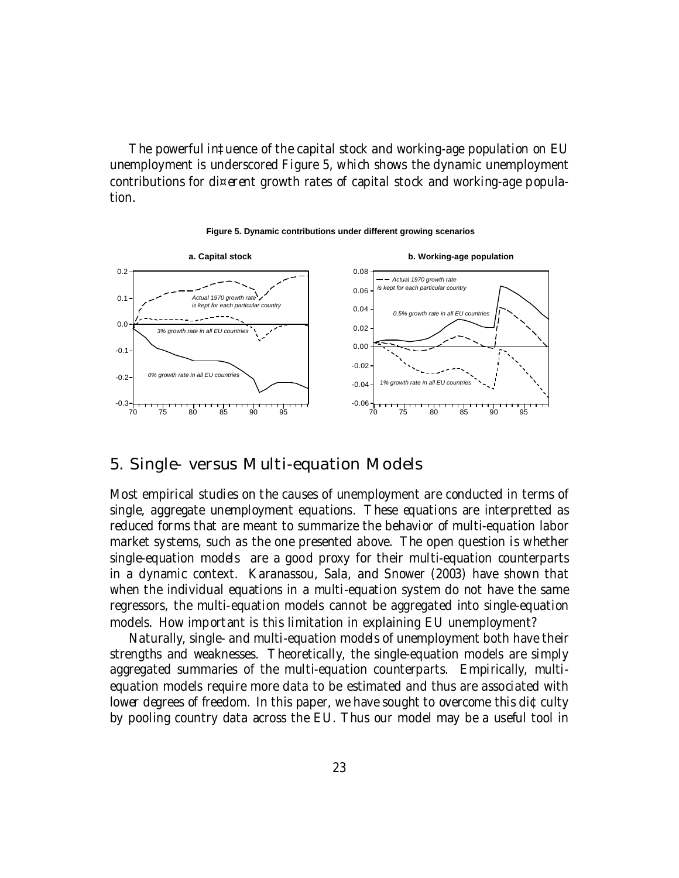The powerful in‡uence of the capital stock and working-age population on EU unemployment is underscored Figure 5, which shows the dynamic unemployment contributions for di¤erent growth rates of capital stock and working-age population.





#### 5. Single- versus Multi-equation Models

Most empirical studies on the causes of unemployment are conducted in terms of single, aggregate unemployment equations. These equations are interpretted as reduced forms that are meant to summarize the behavior of multi-equation labor market systems, such as the one presented above. The open question is whether single-equation models are a good proxy for their multi-equation counterparts in a dynamic context. Karanassou, Sala, and Snower (2003) have shown that when the individual equations in a multi-equation system do not have the same regressors, the multi-equation models cannot be aggregated into single-equation models. How important is this limitation in explaining EU unemployment?

Naturally, single- and multi-equation models of unemployment both have their strengths and weaknesses. Theoretically, the single-equation models are simply aggregated summaries of the multi-equation counterparts. Empirically, multiequation models require more data to be estimated and thus are associated with lower degrees of freedom. In this paper, we have sought to overcome this di¢culty by pooling country data across the EU. Thus our model may be a useful tool in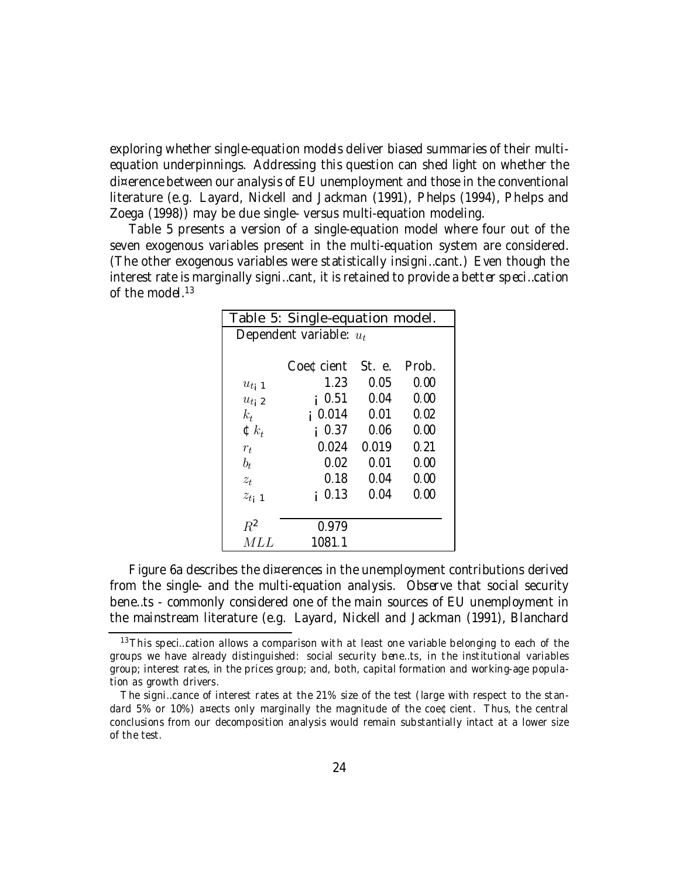exploring whether single-equation models deliver biased summaries of their multiequation underpinnings. Addressing this question can shed light on whether the di¤erence between our analysis of EU unemployment and those in the conventional literature (e.g. Layard, Nickell and Jackman (1991), Phelps (1994), Phelps and Zoega (1998)) may be due single- versus multi-equation modeling.

Table 5 presents a version of a single-equation model where four out of the seven exogenous variables present in the multi-equation system are considered. (The other exogenous variables were statistically insigni…cant.) Even though the interest rate is marginally signi…cant, it is retained to provide a better speci…cation of the model. 13

| Table 5: Single-equation model. |           |        |       |  |  |  |  |
|---------------------------------|-----------|--------|-------|--|--|--|--|
| Dependent variable: $u_t$       |           |        |       |  |  |  |  |
|                                 |           |        |       |  |  |  |  |
|                                 | Coe¢cient | St. e. | Prob. |  |  |  |  |
| $u_{t_1}$ 1                     | 1.23      | 0.05   | 0.00  |  |  |  |  |
| $u_{t}$ 2                       | i 0.51    | 0.04   | 0.00  |  |  |  |  |
| $k_t$                           | 10.014    | 0.01   | 0.02  |  |  |  |  |
| $\mathbf{\Phi}k_t$              | i 0.37    | 0.06   | 0.00  |  |  |  |  |
| $r_t$                           | 0.024     | 0.019  | 0.21  |  |  |  |  |
| $b_t$                           | 0.02      | 0.01   | 0.00  |  |  |  |  |
| $z_t$                           | 0.18      | 0.04   | 0.00  |  |  |  |  |
| $z_{t}$ 1                       | i 0.13    | 0.04   | 0.00  |  |  |  |  |
|                                 |           |        |       |  |  |  |  |
| $R^2$                           | 0.979     |        |       |  |  |  |  |
| MLL                             | 1081.1    |        |       |  |  |  |  |

Figure 6a describes the di¤erences in the unemployment contributions derived from the single- and the multi-equation analysis. Observe that social security bene…ts - commonly considered one of the main sources of EU unemployment in the mainstream literature (e.g. Layard, Nickell and Jackman (1991), Blanchard

 $13$ This speci... cation allows a comparison with at least one variable belonging to each of the groups we have already distinguished: social security bene…ts, in the institutional variables group; interest rates, in the prices group; and, both, capital formation and working-age population as growth drivers.

The signi…cance of interest rates at the 21% size of the test (large with respect to the standard 5% or 10%) a¤ects only marginally the magnitude of the coe $\text{\textdegree}$ cient. Thus, the central conclusions from our decomposition analysis would remain substantially intact at a lower size of the test.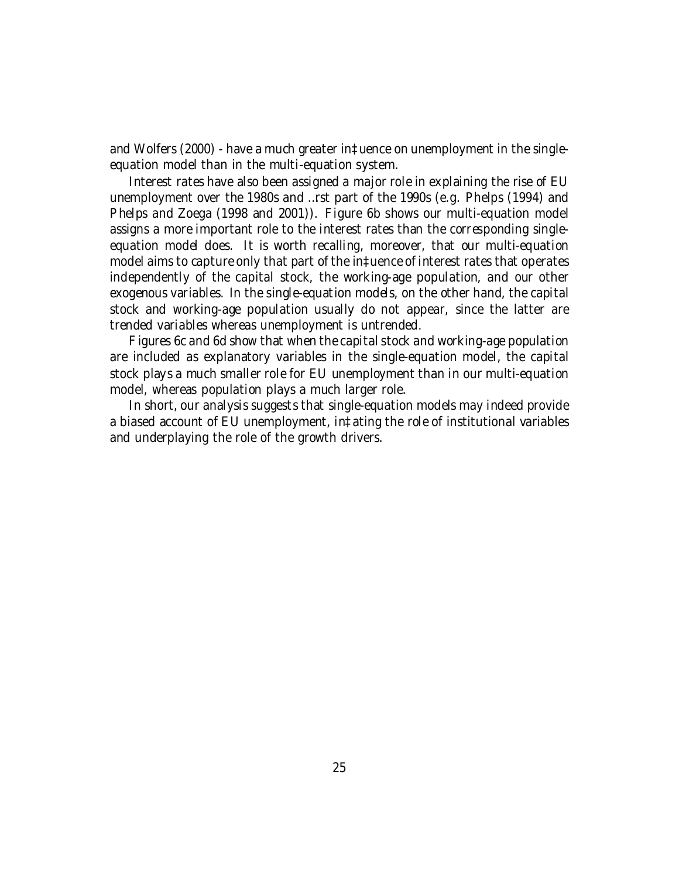and Wolfers (2000) - have a much greater in‡uence on unemployment in the singleequation model than in the multi-equation system.

Interest rates have also been assigned a major role in explaining the rise of EU unemployment over the 1980s and …rst part of the 1990s (e.g. Phelps (1994) and Phelps and Zoega (1998 and 2001)). Figure 6b shows our multi-equation model assigns a more important role to the interest rates than the corresponding singleequation model does. It is worth recalling, moreover, that our multi-equation model aims to capture only that part of the in‡uence of interest rates that operates independently of the capital stock, the working-age population, and our other exogenous variables. In the single-equation models, on the other hand, the capital stock and working-age population usually do not appear, since the latter are trended variables whereas unemployment is untrended.

Figures 6c and 6d show that when the capital stock and working-age population are included as explanatory variables in the single-equation model, the capital stock plays a much smaller role for EU unemployment than in our multi-equation model, whereas population plays a much larger role.

In short, our analysis suggests that single-equation models may indeed provide a biased account of EU unemployment, in‡ating the role of institutional variables and underplaying the role of the growth drivers.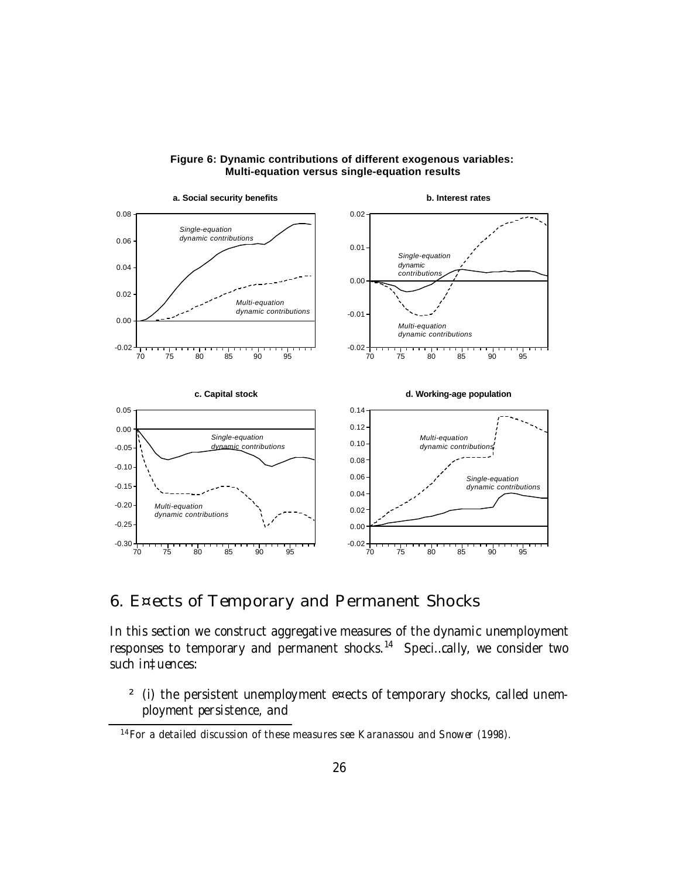

#### **Figure 6: Dynamic contributions of different exogenous variables: Multi-equation versus single-equation results**

## 6. E¤ects of Temporary and Permanent Shocks

In this section we construct aggregative measures of the dynamic unemployment responses to temporary and permanent shocks.<sup>14</sup> Speci...cally, we consider two such in‡uences:

 $2$  (i) the persistent unemployment e¤ects of temporary shocks, called unemployment persistence, and

<sup>14</sup> For a detailed discussion of these measures see Karanassou and Snower (1998).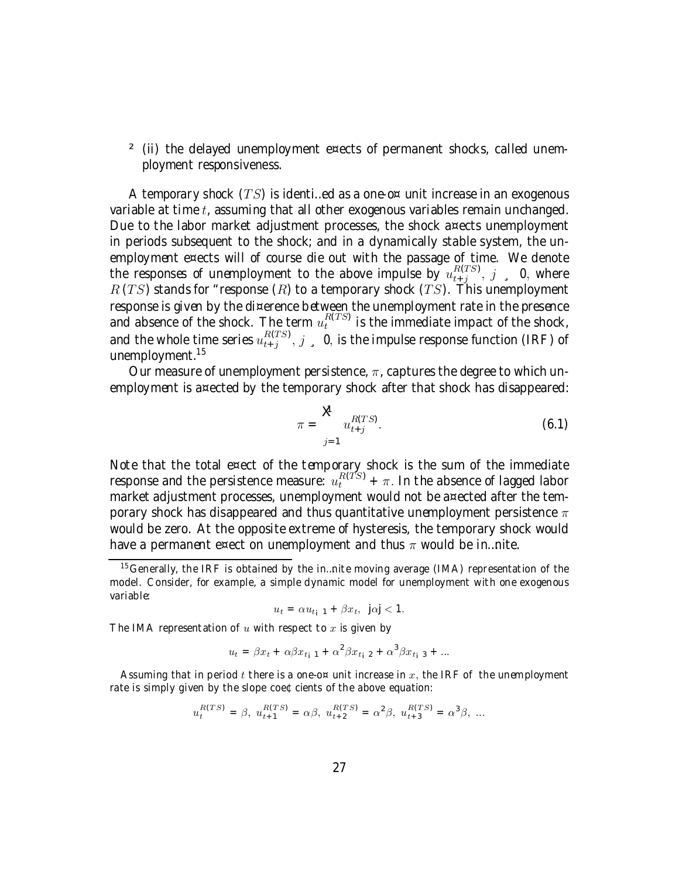<sup>2</sup> (ii) the delayed unemployment e¤ects of permanent shocks, called unemployment responsiveness.

A temporary shock  $(TS)$  is identi…ed as a one-o¤ unit increase in an exogenous variable at time  $t$ , assuming that all other exogenous variables remain unchanged. Due to the labor market adjustment processes, the shock a¤ects unemployment in periods subsequent to the shock; and in a dynamically stable system, the unemployment e¤ects will of course die out with the passage of time. We denote the responses of unemployment to the above impulse by  $u_{t+j}^{R(TS)}$  $\frac{R(I|S)}{t+j}, j$  , 0, where  $R(TS)$  stands for "response (R) to a temporary shock (TS). This unemployment response is given by the di¤erence between the unemployment rate in the presence and absence of the shock. The term  $u_t^{R(TS)}$  $t_t^{R(I|S)}$  is the immediate impact of the shock, and the whole time series  $u^{R(TS)}_{t+\, i}$  $\mathcal{H}^{(I|S)}_{t+j}, j$  , 0, is the impulse response function (IRF) of unemployment. 15

Our measure of unemployment persistence,  $\pi$ , captures the degree to which unemployment is a¤ected by the temporary shock after that shock has disappeared:

$$
\pi = \sum_{j=1}^{\mathbf{X}} u_{t+j}^{R(TS)}.
$$
 (6.1)

Note that the total e¤ect of the temporary shock is the sum of the immediate response and the persistence measure:  $u^{R(TS)}_t + \pi.$  In the absence of lagged labor market adjustment processes, unemployment would not be a¤ected after the temporary shock has disappeared and thus quantitative unemployment persistence  $\pi$ would be zero. At the opposite extreme of hysteresis, the temporary shock would have a permanent e¤ect on unemployment and thus  $\pi$  would be in ... nite.

$$
u_t = \alpha u_{t_1} + \beta x_t, \ \mathbf{j} \alpha \mathbf{j} < 1.
$$

The IMA representation of  $u$  with respect to  $x$  is given by

$$
u_{t} = \beta x_{t} + \alpha \beta x_{t_{1}} + \alpha^{2} \beta x_{t_{1}} + \alpha^{3} \beta x_{t_{1}} + \dots
$$

Assuming that in period t there is a one-o<sub>nd</sub> unit increase in x, the IRF of the unemployment rate is simply given by the slope coe¢cients of the above equation:

$$
u_t^{R(TS)} = \beta, \ u_{t+1}^{R(TS)} = \alpha\beta, \ u_{t+2}^{R(TS)} = \alpha^2\beta, \ u_{t+3}^{R(TS)} = \alpha^3\beta, \ \dots
$$

<sup>&</sup>lt;sup>15</sup> Generally, the IRF is obtained by the in... nite moving average (IMA) representation of the model. Consider, for example, a simple dynamic model for unemployment with one exogenous variable: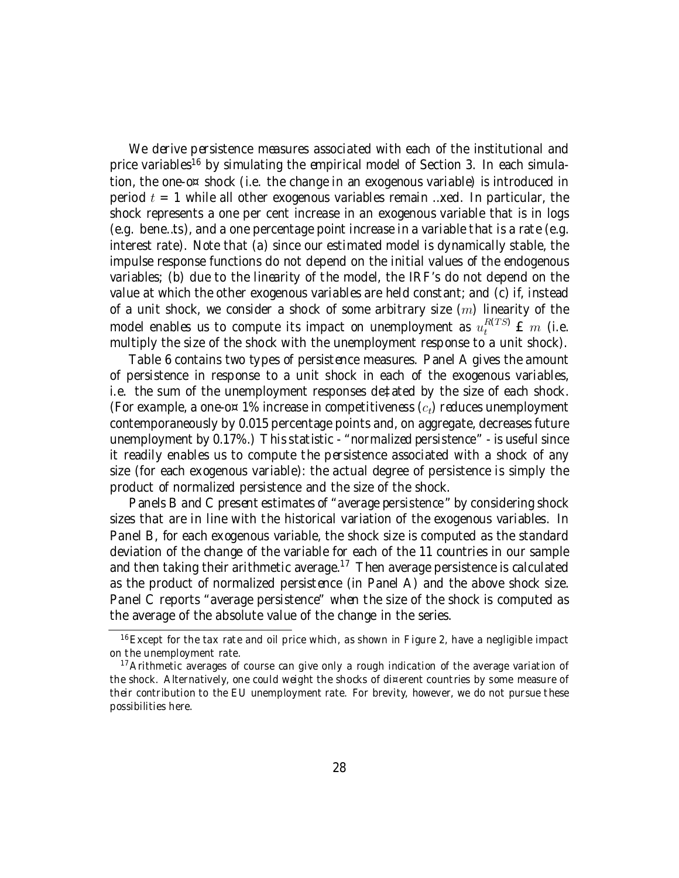We derive persistence measures associated with each of the institutional and price variables<sup>16</sup> by simulating the empirical model of Section 3. In each simulation, the one-o¤ shock (i.e. the change in an exogenous variable) is introduced in period  $t = 1$  while all other exogenous variables remain ... xed. In particular, the shock represents a one per cent increase in an exogenous variable that is in logs (e.g. bene…ts), and a one percentage point increase in a variable that is a rate (e.g. interest rate). Note that (a) since our estimated model is dynamically stable, the impulse response functions do not depend on the initial values of the endogenous variables; (b) due to the linearity of the model, the IRF's do not depend on the value at which the other exogenous variables are held constant; and (c) if, instead of a unit shock, we consider a shock of some arbitrary size  $(m)$  linearity of the model enables us to compute its impact on unemployment as  $u_t^{R(TS)} \in m$  (i.e. multiply the size of the shock with the unemployment response to a unit shock).

Table 6 contains two types of persistence measures. Panel A gives the amount of persistence in response to a unit shock in each of the exogenous variables, i.e. the sum of the unemployment responses de‡ated by the size of each shock. (For example, a one-o¤ 1% increase in competitiveness  $(c_t)$  reduces unemployment contemporaneously by 0.015 percentage points and, on aggregate, decreases future unemployment by 0.17%.) Thisstatistic - "normalized persistence" - is useful since it readily enables us to compute the persistence associated with a shock of any size (for each exogenous variable): the actual degree of persistence is simply the product of normalized persistence and the size of the shock.

Panels B and C present estimates of "average persistence" by considering shock sizes that are in line with the historical variation of the exogenous variables. In Panel B, for each exogenous variable, the shock size is computed as the standard deviation of the change of the variable for each of the 11 countries in our sample and then taking their arithmetic average.<sup>17</sup> Then average persistence is calculated as the product of normalized persistence (in Panel A) and the above shock size. Panel C reports "average persistence" when the size of the shock is computed as the average of the absolute value of the change in the series.

 $16$  Except for the tax rate and oil price which, as shown in Figure 2, have a negligible impact on the unemployment rate.

<sup>&</sup>lt;sup>17</sup> Arithmetic averages of course can give only a rough indication of the average variation of the shock. Alternatively, one could weight the shocks of di¤erent countries by some measure of their contribution to the EU unemployment rate. For brevity, however, we do not pursue these possibilities here.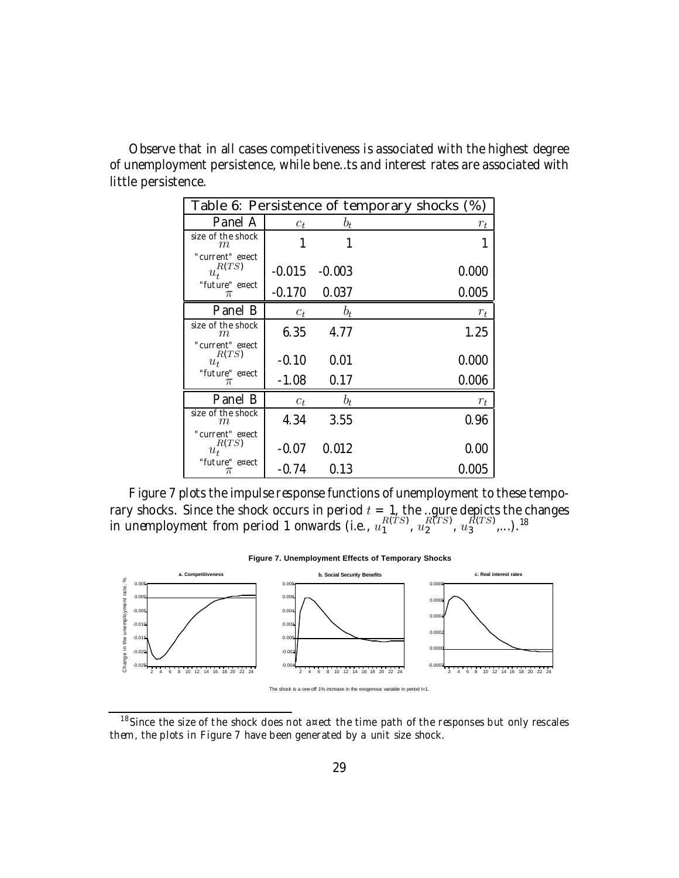Observe that in all cases competitiveness is associated with the highest degree of unemployment persistence, while bene…ts and interest rates are associated with little persistence.

| Table 6: Persistence of temporary shocks (%) |          |          |          |  |  |  |
|----------------------------------------------|----------|----------|----------|--|--|--|
| Panel A                                      | $c_t$    | $b_t$    | $r_t$    |  |  |  |
| size of the shock<br>m                       | 1        |          |          |  |  |  |
| "current" e¤ect<br>R(TS)<br>$u_t$            | $-0.015$ | $-0.003$ | 0.000    |  |  |  |
| "future" e¤ect<br>π                          | $-0.170$ | 0.037    | 0.005    |  |  |  |
| Panel B                                      | $c_t$    | $b_t$    | $r_t$    |  |  |  |
| size of the shock<br>m                       | 6.35     | 4.77     | 1.25     |  |  |  |
| "current" e¤ect<br>R(TS)<br>$u_t$            | $-0.10$  | 0.01     | 0.000    |  |  |  |
| "future" e¤ect<br>π                          | $-1.08$  | 0.17     | 0.006    |  |  |  |
| Panel B                                      | $c_t$    | $b_t$    | $r_t$    |  |  |  |
| size of the shock<br>$m\,$                   | 4.34     | 3.55     | 0.96     |  |  |  |
| "current" e¤ect<br>R(TS)<br>$u_t$            | $-0.07$  | 0.012    | $0.00\,$ |  |  |  |
| "future" e¤ect<br>π                          | -0.74    | 0.13     | 0.005    |  |  |  |

Figure 7 plots the impulse response functions of unemployment to these temporary shocks. Since the shock occurs in period  $t = 1$ , the …gure depicts the changes in unemployment from period 1 onwards (i.e.,  $u_1^{R(TS)}$  $_{1}^{R(TS)}$ ,  $u_{2}^{R(TS)}$  $_{2}^{R(TS)}$ ,  $u_{3}^{R(TS)}$  $_3^{R(TS)}$ ,...).<sup>18</sup>



 $18$ Since the size of the shock does not a¤ect the time path of the responses but only rescales them, the plots in Figure 7 have been generated by a unit size shock.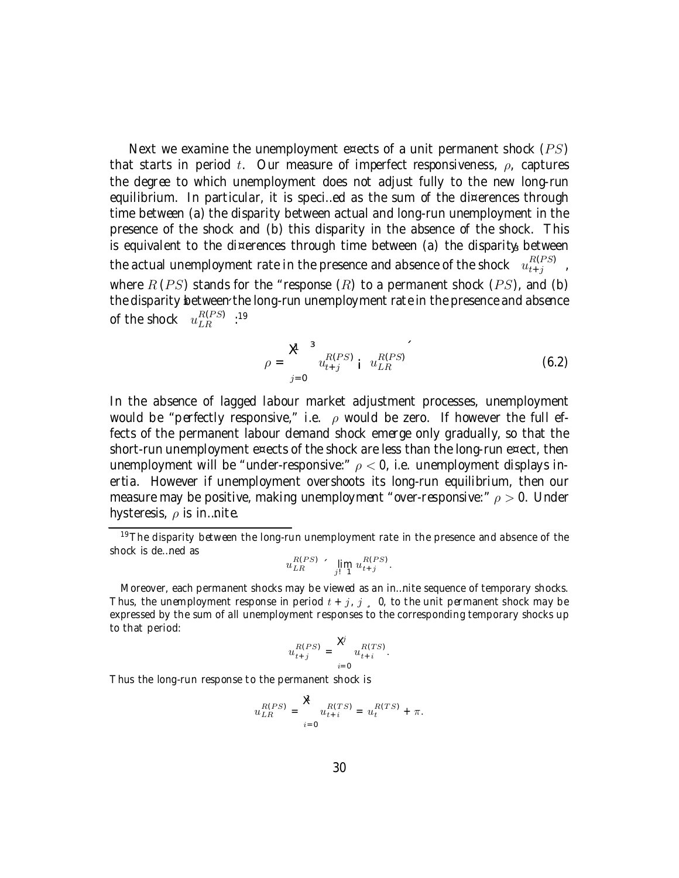Next we examine the unemployment e¤ects of a unit permanent shock  $(PS)$ that starts in period t. Our measure of imperfect responsiveness,  $\rho$ , captures the degree to which unemployment does not adjust fully to the new long-run equilibrium. In particular, it is speci…ed as the sum of the di¤erences through time between (a) the disparity between actual and long-run unemployment in the presence of the shock and (b) this disparity in the absence of the shock. This is equivalent to the di¤erences through time between (a) the disparity between the actual unemployment rate in the presence and absence of the shock  $u_{t+j}^{R(PS)}$  $t+j$ , where  $R(PS)$  stands for the "response  $(R)$  to a permanent shock  $(PS)$ , and (b) the disparity between the long-run unemployment rate in the presence and absence of the shock  $u_{LR}^{R(PS)}$ LR  $\cdot$ <sup>19</sup>

$$
\rho = \frac{\mathbf{X}}{u_{t+j}^{R(PS)}} \mathbf{i} \quad u_{LR}^{R(PS)} \tag{6.2}
$$

In the absence of lagged labour market adjustment processes, unemployment would be "perfectly responsive," i.e.  $\rho$  would be zero. If however the full effects of the permanent labour demand shock emerge only gradually, so that the short-run unemployment e¤ects of the shock are less than the long-run e¤ect, then unemployment will be "under-responsive:"  $\rho < 0$ , i.e. unemployment displays inertia. However if unemployment overshoots its long-run equilibrium, then our measure may be positive, making unemployment "over-responsive:"  $\rho > 0$ . Under hysteresis,  $\rho$  is in...nite.

$$
u_{LR}^{R(PS)} \sim \lim_{j \downarrow 1} u_{t+j}^{R(PS)}.
$$

Moreover, each permanent shocks may be viewed as an in…nite sequence of temporary shocks. Thus, the unemployment response in period  $t + j$ ,  $j = 0$ , to the unit permanent shock may be expressed by the sum of all unemployment responses to the corresponding temporary shocks up to that period:

$$
u_{t+j}^{R(PS)} = \mathbf{X} u_{t+i}^{R(TS)}.
$$

Thus the long-run response to the permanent shock is

$$
u_{LR}^{R(PS)} = \sum_{i=0}^{N} u_{t+i}^{R(TS)} = u_t^{R(TS)} + \pi.
$$

<sup>&</sup>lt;sup>19</sup>The disparity between the long-run unemployment rate in the presence and absence of the shock is de…ned as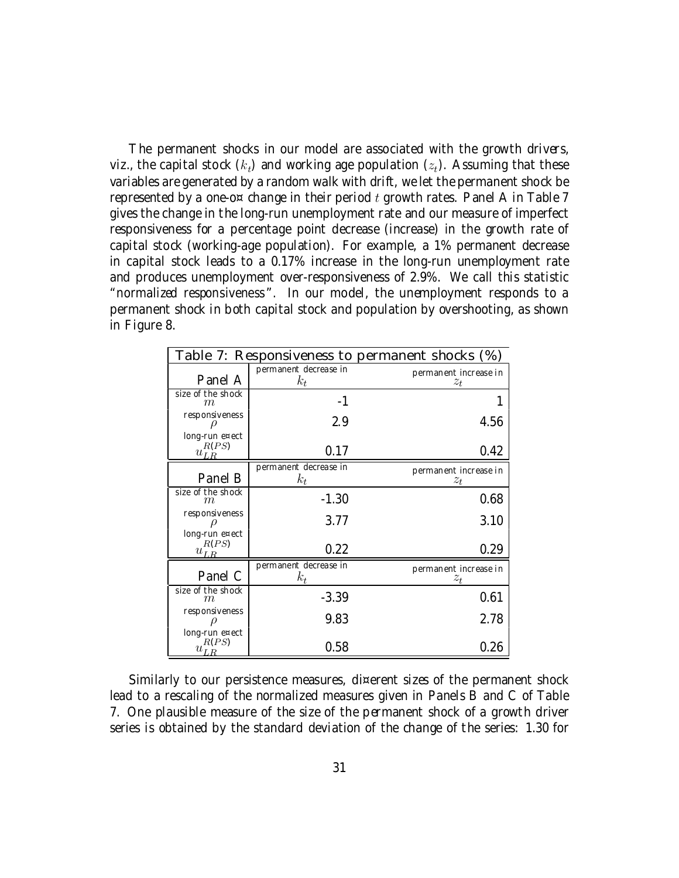The permanent shocks in our model are associated with the growth drivers, viz., the capital stock  $(k_t)$  and working age population  $(z_t)$ . Assuming that these variables are generated by a random walk with drift, we let the permanent shock be represented by a one-o¤ change in their period  $t$  growth rates. Panel A in Table 7 gives the change in the long-run unemployment rate and our measure of imperfect responsiveness for a percentage point decrease (increase) in the growth rate of capital stock (working-age population). For example, a 1% permanent decrease in capital stock leads to a 0.17% increase in the long-run unemployment rate and produces unemployment over-responsiveness of 2.9%. We call this statistic "normalized responsiveness". In our model, the unemployment responds to a permanent shock in both capital stock and population by overshooting, as shown in Figure 8.

| Table 7: Responsiveness to permanent shocks (%) |                                |                                |  |  |  |  |  |
|-------------------------------------------------|--------------------------------|--------------------------------|--|--|--|--|--|
| Panel A                                         | permanent decrease in<br>$k_t$ | permanent increase in<br>$z_t$ |  |  |  |  |  |
| size of the shock<br>m                          | $-1$                           |                                |  |  |  |  |  |
| responsiveness                                  | 2.9                            | 4.56                           |  |  |  |  |  |
| long-run e¤ect<br>R(PS)<br>$u_{L,R}$            | 0.17                           | 0.42                           |  |  |  |  |  |
| Panel B                                         | permanent decrease in<br>$k_t$ | permanent increase in<br>$z_t$ |  |  |  |  |  |
| size of the shock<br>m                          | $-1.30$                        | 0.68                           |  |  |  |  |  |
| responsiveness                                  | 3.77                           | 3.10                           |  |  |  |  |  |
| long-run e¤ect<br>R(PS)<br>$u_{LR}$             | 0.22                           | 0.29                           |  |  |  |  |  |
| Panel C                                         | permanent decrease in<br>$k_t$ | permanent increase in<br>$z_t$ |  |  |  |  |  |
| size of the shock<br>$m_{\iota}$                | $-3.39$                        | 0.61                           |  |  |  |  |  |
| responsiveness                                  | 9.83                           | 2.78                           |  |  |  |  |  |
| long-run e¤ect<br>R(PS)<br>U<br>L R             | 0.58                           | 0.26                           |  |  |  |  |  |

Similarly to our persistence measures, di¤erent sizes of the permanent shock lead to a rescaling of the normalized measures given in Panels B and C of Table 7. One plausible measure of the size of the permanent shock of a growth driver series is obtained by the standard deviation of the change of the series: 1.30 for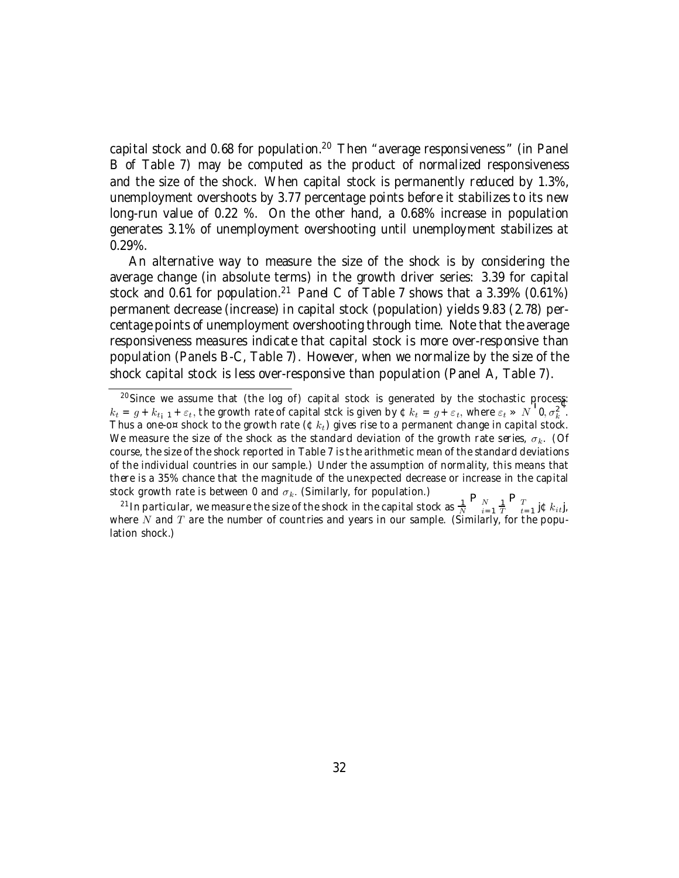capital stock and 0.68 for population.<sup>20</sup> Then "average responsiveness" (in Panel B of Table 7) may be computed as the product of normalized responsiveness and the size of the shock. When capital stock is permanently reduced by 1.3%, unemployment overshoots by 3.77 percentage points before it stabilizes to its new long-run value of 0.22 %. On the other hand, a 0.68% increase in population generates 3.1% of unemployment overshooting until unemployment stabilizes at 0.29%.

An alternative way to measure the size of the shock is by considering the average change (in absolute terms) in the growth driver series: 3.39 for capital stock and 0.61 for population.<sup>21</sup> Panel C of Table 7 shows that a 3.39% (0.61%) permanent decrease (increase) in capital stock (population) yields 9.83 (2.78) percentage points of unemployment overshooting through time. Note that the average responsiveness measures indicate that capital stock is more over-responsive than population (Panels B-C, Table 7). However, when we normalize by the size of the shock capital stock is less over-responsive than population (Panel A, Table 7).

<sup>&</sup>lt;sup>20</sup>Since we assume that (the log of) capital stock is generated by the stochastic process:  $k_t = g + k_{t_1 - 1} + \varepsilon_t$ , the growth rate of capital stck is given by  $\mathfrak{C} k_t = g + \varepsilon_t$ , where  $\varepsilon_t \gg N^{-1} 0, \sigma_k^2$ . Thus a one-o¤ shock to the growth rate  $(\mathfrak{C}k_t)$  gives rise to a permanent change in capital stock. We measure the size of the shock as the standard deviation of the growth rate series,  $\sigma_k$ . (Of course, the size of the shock reported in Table 7 is the arithmetic mean of the standard deviations of the individual countries in our sample.) Under the assumption of normality, this means that there is a 35% chance that the magnitude of the unexpected decrease or increase in the capital stock growth rate is between 0 and  $\sigma_k.$  (Similarly, for population.)

<sup>&</sup>lt;sup>21</sup> In particular, we measure the size of the shock in the capital stock as  $\frac{1}{N}\prod_{i=1}^N\frac{1}{T}\prod_{t=1}^T\mathbf{j}\mathbf{\Phi}_{ki}$  j, where N and T are the number of countries and years in our sample. (Similarly, for the population shock.)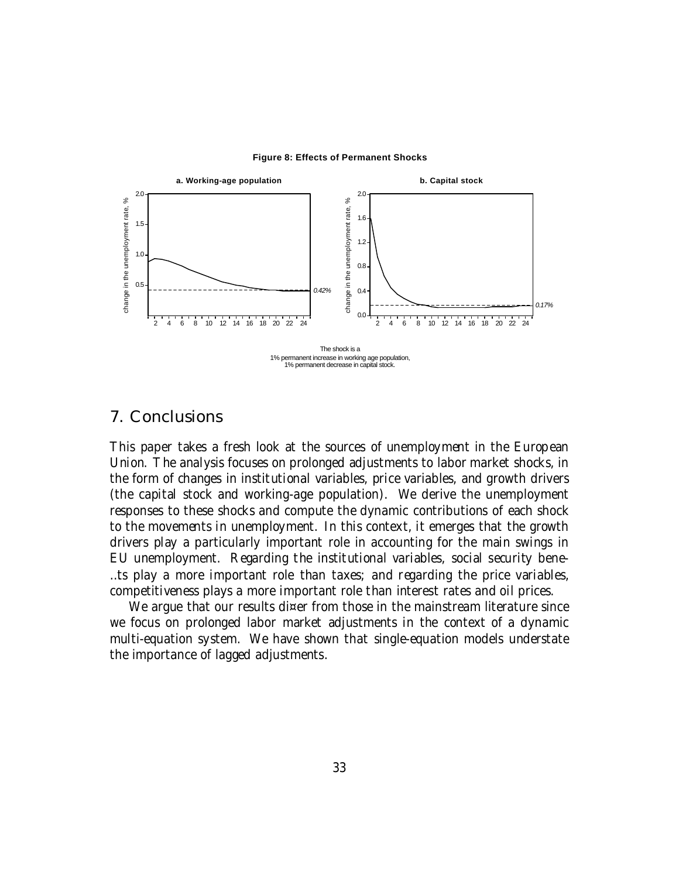#### **Figure 8: Effects of Permanent Shocks**



#### 7. Conclusions

This paper takes a fresh look at the sources of unemployment in the European Union. The analysis focuses on prolonged adjustments to labor market shocks, in the form of changes in institutional variables, price variables, and growth drivers (the capital stock and working-age population). We derive the unemployment responses to these shocks and compute the dynamic contributions of each shock to the movements in unemployment. In this context, it emerges that the growth drivers play a particularly important role in accounting for the main swings in EU unemployment. Regarding the institutional variables, social security bene- …ts play a more important role than taxes; and regarding the price variables, competitiveness plays a more important role than interest rates and oil prices.

We argue that our results di¤er from those in the mainstream literature since we focus on prolonged labor market adjustments in the context of a dynamic multi-equation system. We have shown that single-equation models understate the importance of lagged adjustments.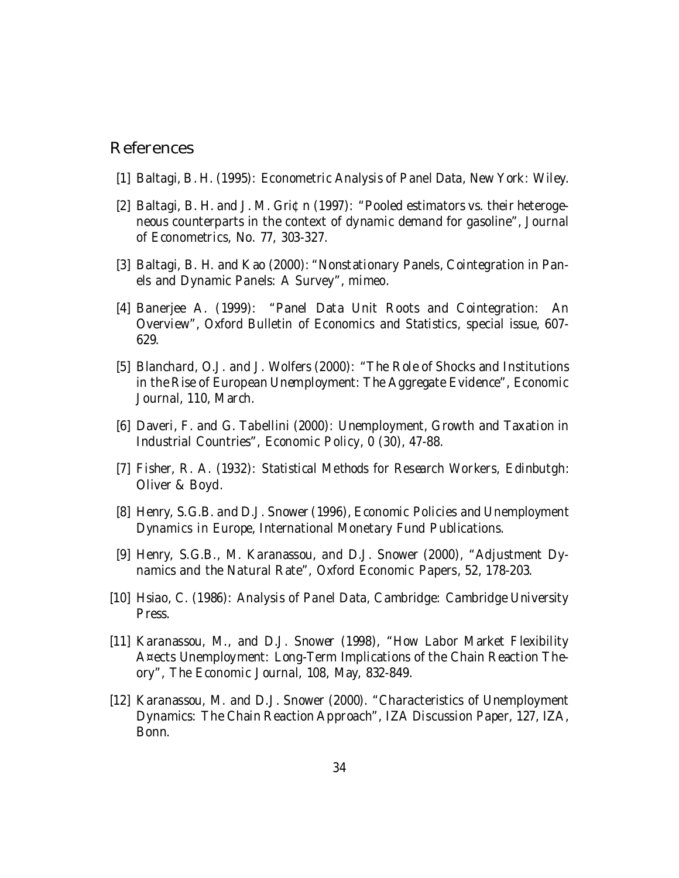#### References

- [1] Baltagi, B. H. (1995): Econometric Analysis of Panel Data, New York: Wiley.
- [2] Baltagi, B. H. and J. M. Gri¢n (1997): "Pooled estimators vs. their heterogeneous counterparts in the context of dynamic demand for gasoline", Journal of Econometrics, No. 77, 303-327.
- [3] Baltagi, B. H. and Kao (2000): "Nonstationary Panels, Cointegration in Panels and Dynamic Panels: A Survey", mimeo.
- [4] Banerjee A. (1999): "Panel Data Unit Roots and Cointegration: An Overview", Oxford Bulletin of Economics and Statistics, special issue, 607- 629.
- [5] Blanchard, O.J. and J. Wolfers (2000): "The Role of Shocks and Institutions in the Rise of European Unemployment: The Aggregate Evidence", Economic Journal, 110, March.
- [6] Daveri, F. and G. Tabellini (2000): Unemployment, Growth and Taxation in Industrial Countries", Economic Policy, 0 (30), 47-88.
- [7] Fisher, R. A. (1932): Statistical Methods for Research Workers, Edinbutgh: Oliver & Boyd.
- [8] Henry, S.G.B. and D.J. Snower (1996), Economic Policies and Unemployment Dynamics in Europe, International Monetary Fund Publications.
- [9] Henry, S.G.B., M. Karanassou, and D.J. Snower (2000), "Adjustment Dynamics and the Natural Rate", Oxford Economic Papers, 52, 178-203.
- [10] Hsiao, C. (1986): Analysis of Panel Data, Cambridge: Cambridge University Press.
- [11] Karanassou, M., and D.J. Snower (1998), "How Labor Market Flexibility A¤ects Unemployment: Long-Term Implications of the Chain Reaction Theory", The Economic Journal, 108, May, 832-849.
- [12] Karanassou, M. and D.J. Snower (2000). "Characteristics of Unemployment Dynamics: The Chain Reaction Approach", IZA Discussion Paper, 127, IZA, Bonn.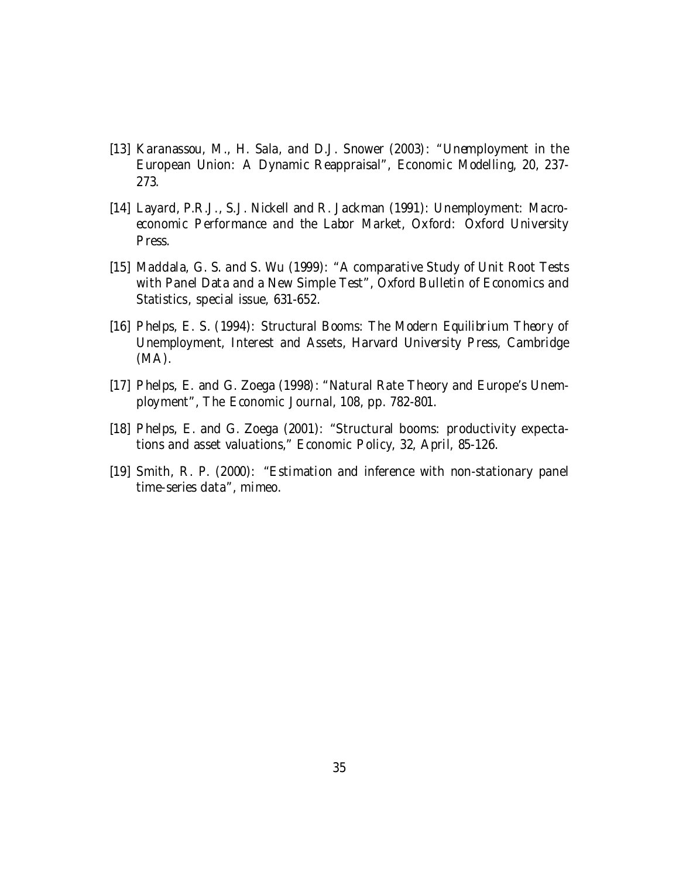- [13] Karanassou, M., H. Sala, and D.J. Snower (2003): "Unemployment in the European Union: A Dynamic Reappraisal", Economic Modelling, 20, 237- 273.
- [14] Layard, P.R.J., S.J. Nickell and R. Jackman (1991): Unemployment: Macroeconomic Performance and the Labor Market, Oxford: Oxford University Press.
- [15] Maddala, G. S. and S. Wu (1999): "A comparative Study of Unit Root Tests with Panel Data and a New Simple Test", Oxford Bulletin of Economics and Statistics, special issue, 631-652.
- [16] Phelps, E. S. (1994): Structural Booms: The Modern Equilibrium Theory of Unemployment, Interest and Assets, Harvard University Press, Cambridge (MA).
- [17] Phelps, E. and G. Zoega (1998): "Natural Rate Theory and Europe's Unemployment", The Economic Journal, 108, pp. 782-801.
- [18] Phelps, E. and G. Zoega (2001): "Structural booms: productivity expectations and asset valuations," Economic Policy, 32, April, 85-126.
- [19] Smith, R. P. (2000): "Estimation and inference with non-stationary panel time-series data", mimeo.